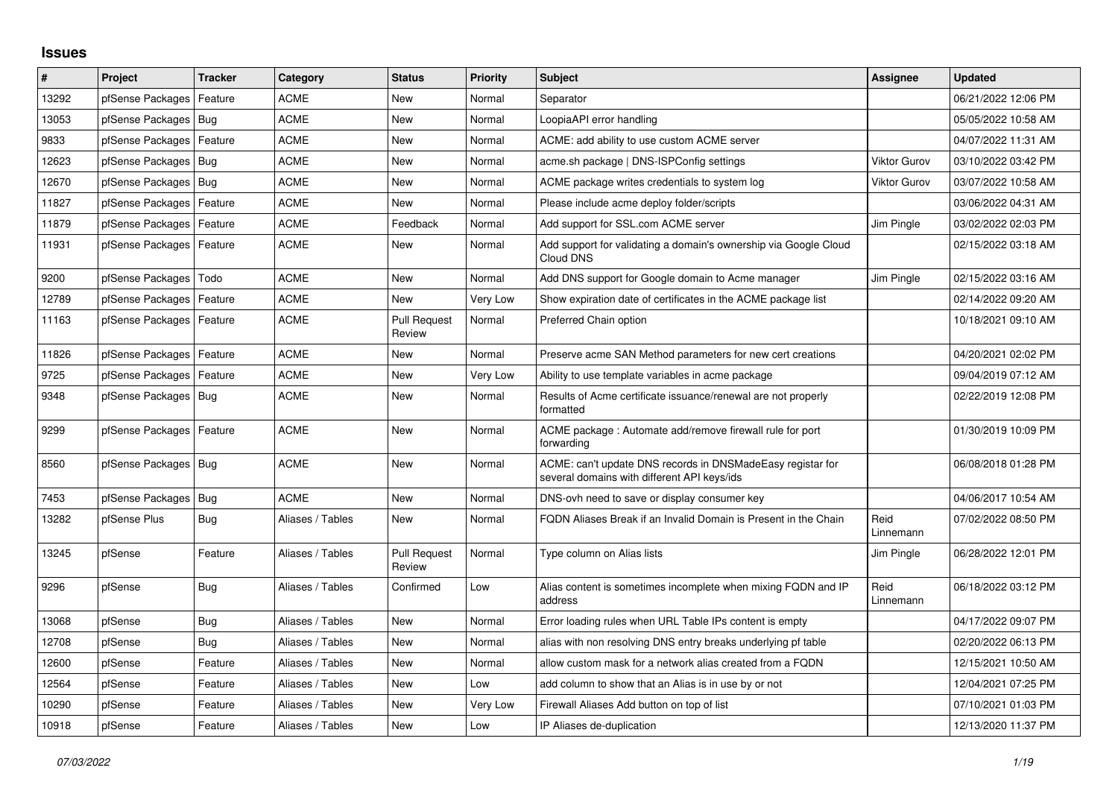## **Issues**

| $\#$  | Project                    | <b>Tracker</b> | Category         | <b>Status</b>                 | <b>Priority</b> | <b>Subject</b>                                                                                            | Assignee            | <b>Updated</b>      |
|-------|----------------------------|----------------|------------------|-------------------------------|-----------------|-----------------------------------------------------------------------------------------------------------|---------------------|---------------------|
| 13292 | pfSense Packages           | Feature        | <b>ACME</b>      | <b>New</b>                    | Normal          | Separator                                                                                                 |                     | 06/21/2022 12:06 PM |
| 13053 | pfSense Packages           | Bug            | <b>ACME</b>      | <b>New</b>                    | Normal          | LoopiaAPI error handling                                                                                  |                     | 05/05/2022 10:58 AM |
| 9833  | pfSense Packages           | Feature        | <b>ACME</b>      | <b>New</b>                    | Normal          | ACME: add ability to use custom ACME server                                                               |                     | 04/07/2022 11:31 AM |
| 12623 | pfSense Packages           | Bug            | <b>ACME</b>      | <b>New</b>                    | Normal          | acme.sh package   DNS-ISPConfig settings                                                                  | <b>Viktor Gurov</b> | 03/10/2022 03:42 PM |
| 12670 | pfSense Packages   Bug     |                | <b>ACME</b>      | <b>New</b>                    | Normal          | ACME package writes credentials to system log                                                             | <b>Viktor Gurov</b> | 03/07/2022 10:58 AM |
| 11827 | pfSense Packages           | Feature        | <b>ACME</b>      | <b>New</b>                    | Normal          | Please include acme deploy folder/scripts                                                                 |                     | 03/06/2022 04:31 AM |
| 11879 | pfSense Packages           | Feature        | <b>ACME</b>      | Feedback                      | Normal          | Add support for SSL.com ACME server                                                                       | Jim Pingle          | 03/02/2022 02:03 PM |
| 11931 | pfSense Packages   Feature |                | <b>ACME</b>      | <b>New</b>                    | Normal          | Add support for validating a domain's ownership via Google Cloud<br>Cloud DNS                             |                     | 02/15/2022 03:18 AM |
| 9200  | pfSense Packages           | Todo           | <b>ACME</b>      | <b>New</b>                    | Normal          | Add DNS support for Google domain to Acme manager                                                         | Jim Pingle          | 02/15/2022 03:16 AM |
| 12789 | pfSense Packages           | Feature        | <b>ACME</b>      | <b>New</b>                    | Very Low        | Show expiration date of certificates in the ACME package list                                             |                     | 02/14/2022 09:20 AM |
| 11163 | pfSense Packages           | Feature        | <b>ACME</b>      | <b>Pull Request</b><br>Review | Normal          | Preferred Chain option                                                                                    |                     | 10/18/2021 09:10 AM |
| 11826 | pfSense Packages           | Feature        | <b>ACME</b>      | <b>New</b>                    | Normal          | Preserve acme SAN Method parameters for new cert creations                                                |                     | 04/20/2021 02:02 PM |
| 9725  | pfSense Packages           | Feature        | <b>ACME</b>      | <b>New</b>                    | Very Low        | Ability to use template variables in acme package                                                         |                     | 09/04/2019 07:12 AM |
| 9348  | pfSense Packages   Bug     |                | <b>ACME</b>      | <b>New</b>                    | Normal          | Results of Acme certificate issuance/renewal are not properly<br>formatted                                |                     | 02/22/2019 12:08 PM |
| 9299  | pfSense Packages   Feature |                | <b>ACME</b>      | <b>New</b>                    | Normal          | ACME package: Automate add/remove firewall rule for port<br>forwarding                                    |                     | 01/30/2019 10:09 PM |
| 8560  | pfSense Packages   Bug     |                | <b>ACME</b>      | <b>New</b>                    | Normal          | ACME: can't update DNS records in DNSMadeEasy registar for<br>several domains with different API keys/ids |                     | 06/08/2018 01:28 PM |
| 7453  | pfSense Packages           | Bug            | <b>ACME</b>      | <b>New</b>                    | Normal          | DNS-ovh need to save or display consumer key                                                              |                     | 04/06/2017 10:54 AM |
| 13282 | pfSense Plus               | Bug            | Aliases / Tables | <b>New</b>                    | Normal          | FQDN Aliases Break if an Invalid Domain is Present in the Chain                                           | Reid<br>Linnemann   | 07/02/2022 08:50 PM |
| 13245 | pfSense                    | Feature        | Aliases / Tables | <b>Pull Request</b><br>Review | Normal          | Type column on Alias lists                                                                                | Jim Pingle          | 06/28/2022 12:01 PM |
| 9296  | pfSense                    | Bug            | Aliases / Tables | Confirmed                     | Low             | Alias content is sometimes incomplete when mixing FQDN and IP<br>address                                  | Reid<br>Linnemann   | 06/18/2022 03:12 PM |
| 13068 | pfSense                    | Bug            | Aliases / Tables | <b>New</b>                    | Normal          | Error loading rules when URL Table IPs content is empty                                                   |                     | 04/17/2022 09:07 PM |
| 12708 | pfSense                    | Bug            | Aliases / Tables | New                           | Normal          | alias with non resolving DNS entry breaks underlying pf table                                             |                     | 02/20/2022 06:13 PM |
| 12600 | pfSense                    | Feature        | Aliases / Tables | <b>New</b>                    | Normal          | allow custom mask for a network alias created from a FQDN                                                 |                     | 12/15/2021 10:50 AM |
| 12564 | pfSense                    | Feature        | Aliases / Tables | <b>New</b>                    | Low             | add column to show that an Alias is in use by or not                                                      |                     | 12/04/2021 07:25 PM |
| 10290 | pfSense                    | Feature        | Aliases / Tables | <b>New</b>                    | Very Low        | Firewall Aliases Add button on top of list                                                                |                     | 07/10/2021 01:03 PM |
| 10918 | pfSense                    | Feature        | Aliases / Tables | <b>New</b>                    | Low             | IP Aliases de-duplication                                                                                 |                     | 12/13/2020 11:37 PM |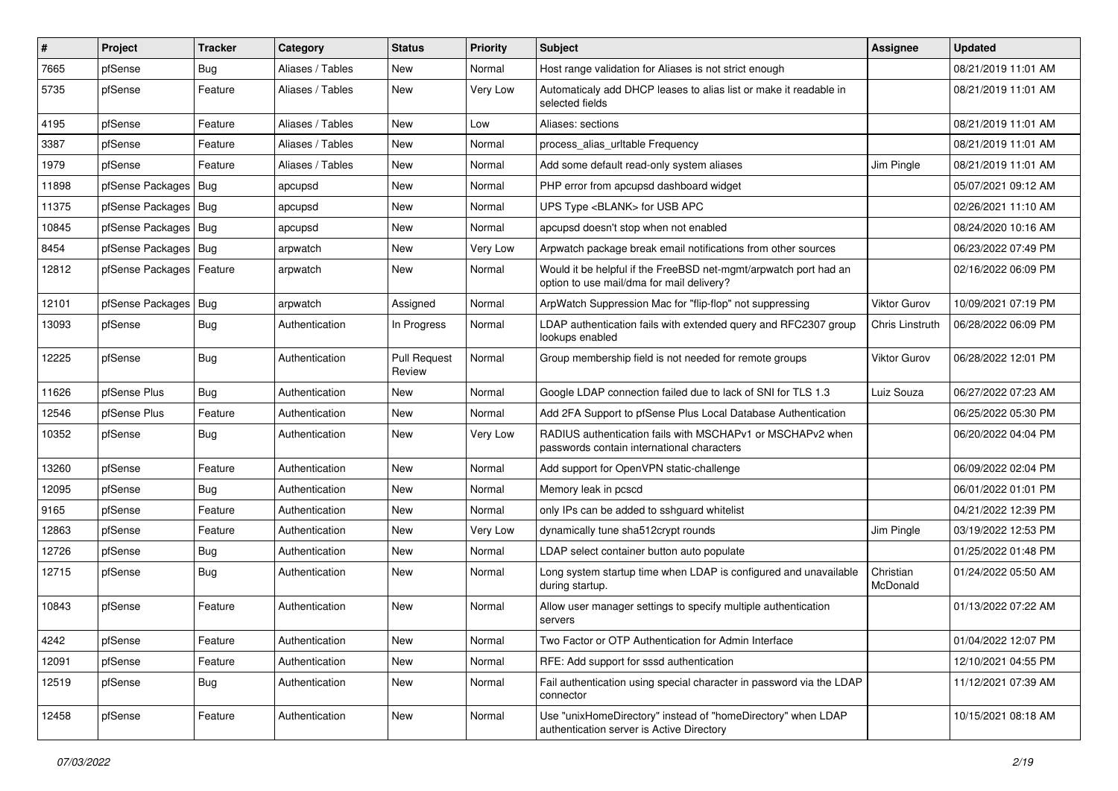| $\vert$ # | Project          | <b>Tracker</b> | Category         | <b>Status</b>                 | <b>Priority</b> | <b>Subject</b>                                                                                                | Assignee              | <b>Updated</b>      |
|-----------|------------------|----------------|------------------|-------------------------------|-----------------|---------------------------------------------------------------------------------------------------------------|-----------------------|---------------------|
| 7665      | pfSense          | Bug            | Aliases / Tables | New                           | Normal          | Host range validation for Aliases is not strict enough                                                        |                       | 08/21/2019 11:01 AM |
| 5735      | pfSense          | Feature        | Aliases / Tables | New                           | Very Low        | Automaticaly add DHCP leases to alias list or make it readable in<br>selected fields                          |                       | 08/21/2019 11:01 AM |
| 4195      | pfSense          | Feature        | Aliases / Tables | <b>New</b>                    | Low             | Aliases: sections                                                                                             |                       | 08/21/2019 11:01 AM |
| 3387      | pfSense          | Feature        | Aliases / Tables | New                           | Normal          | process alias urltable Frequency                                                                              |                       | 08/21/2019 11:01 AM |
| 1979      | pfSense          | Feature        | Aliases / Tables | <b>New</b>                    | Normal          | Add some default read-only system aliases                                                                     | Jim Pingle            | 08/21/2019 11:01 AM |
| 11898     | pfSense Packages | Bug            | apcupsd          | New                           | Normal          | PHP error from apcupsd dashboard widget                                                                       |                       | 05/07/2021 09:12 AM |
| 11375     | pfSense Packages | Bug            | apcupsd          | New                           | Normal          | UPS Type <blank> for USB APC</blank>                                                                          |                       | 02/26/2021 11:10 AM |
| 10845     | pfSense Packages | Bug            | apcupsd          | New                           | Normal          | apcupsd doesn't stop when not enabled                                                                         |                       | 08/24/2020 10:16 AM |
| 8454      | pfSense Packages | <b>Bug</b>     | arpwatch         | New                           | Very Low        | Arpwatch package break email notifications from other sources                                                 |                       | 06/23/2022 07:49 PM |
| 12812     | pfSense Packages | Feature        | arpwatch         | New                           | Normal          | Would it be helpful if the FreeBSD net-mgmt/arpwatch port had an<br>option to use mail/dma for mail delivery? |                       | 02/16/2022 06:09 PM |
| 12101     | pfSense Packages | <b>Bug</b>     | arpwatch         | Assigned                      | Normal          | ArpWatch Suppression Mac for "flip-flop" not suppressing                                                      | Viktor Gurov          | 10/09/2021 07:19 PM |
| 13093     | pfSense          | Bug            | Authentication   | In Progress                   | Normal          | LDAP authentication fails with extended query and RFC2307 group<br>lookups enabled                            | Chris Linstruth       | 06/28/2022 06:09 PM |
| 12225     | pfSense          | Bug            | Authentication   | <b>Pull Request</b><br>Review | Normal          | Group membership field is not needed for remote groups                                                        | Viktor Gurov          | 06/28/2022 12:01 PM |
| 11626     | pfSense Plus     | <b>Bug</b>     | Authentication   | <b>New</b>                    | Normal          | Google LDAP connection failed due to lack of SNI for TLS 1.3                                                  | Luiz Souza            | 06/27/2022 07:23 AM |
| 12546     | pfSense Plus     | Feature        | Authentication   | New                           | Normal          | Add 2FA Support to pfSense Plus Local Database Authentication                                                 |                       | 06/25/2022 05:30 PM |
| 10352     | pfSense          | <b>Bug</b>     | Authentication   | New                           | Very Low        | RADIUS authentication fails with MSCHAPv1 or MSCHAPv2 when<br>passwords contain international characters      |                       | 06/20/2022 04:04 PM |
| 13260     | pfSense          | Feature        | Authentication   | <b>New</b>                    | Normal          | Add support for OpenVPN static-challenge                                                                      |                       | 06/09/2022 02:04 PM |
| 12095     | pfSense          | Bug            | Authentication   | New                           | Normal          | Memory leak in pcscd                                                                                          |                       | 06/01/2022 01:01 PM |
| 9165      | pfSense          | Feature        | Authentication   | <b>New</b>                    | Normal          | only IPs can be added to sshguard whitelist                                                                   |                       | 04/21/2022 12:39 PM |
| 12863     | pfSense          | Feature        | Authentication   | New                           | Very Low        | dynamically tune sha512crypt rounds                                                                           | Jim Pingle            | 03/19/2022 12:53 PM |
| 12726     | pfSense          | Bug            | Authentication   | New                           | Normal          | LDAP select container button auto populate                                                                    |                       | 01/25/2022 01:48 PM |
| 12715     | pfSense          | <b>Bug</b>     | Authentication   | New                           | Normal          | Long system startup time when LDAP is configured and unavailable<br>during startup.                           | Christian<br>McDonald | 01/24/2022 05:50 AM |
| 10843     | pfSense          | Feature        | Authentication   | New                           | Normal          | Allow user manager settings to specify multiple authentication<br>servers                                     |                       | 01/13/2022 07:22 AM |
| 4242      | pfSense          | Feature        | Authentication   | New                           | Normal          | Two Factor or OTP Authentication for Admin Interface                                                          |                       | 01/04/2022 12:07 PM |
| 12091     | pfSense          | Feature        | Authentication   | New                           | Normal          | RFE: Add support for sssd authentication                                                                      |                       | 12/10/2021 04:55 PM |
| 12519     | pfSense          | <b>Bug</b>     | Authentication   | New                           | Normal          | Fail authentication using special character in password via the LDAP<br>connector                             |                       | 11/12/2021 07:39 AM |
| 12458     | pfSense          | Feature        | Authentication   | New                           | Normal          | Use "unixHomeDirectory" instead of "homeDirectory" when LDAP<br>authentication server is Active Directory     |                       | 10/15/2021 08:18 AM |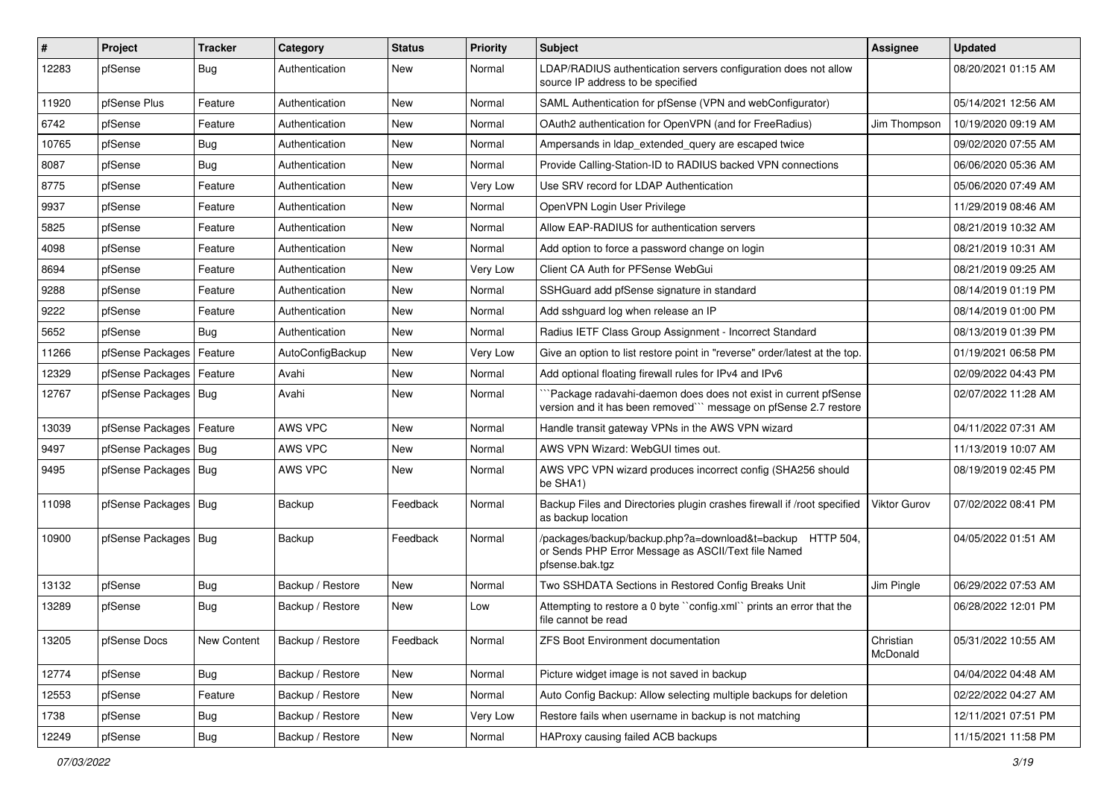| $\vert$ # | Project                    | <b>Tracker</b> | Category         | <b>Status</b> | <b>Priority</b> | Subject                                                                                                                             | <b>Assignee</b>       | <b>Updated</b>      |
|-----------|----------------------------|----------------|------------------|---------------|-----------------|-------------------------------------------------------------------------------------------------------------------------------------|-----------------------|---------------------|
| 12283     | pfSense                    | <b>Bug</b>     | Authentication   | New           | Normal          | LDAP/RADIUS authentication servers configuration does not allow<br>source IP address to be specified                                |                       | 08/20/2021 01:15 AM |
| 11920     | pfSense Plus               | Feature        | Authentication   | <b>New</b>    | Normal          | SAML Authentication for pfSense (VPN and webConfigurator)                                                                           |                       | 05/14/2021 12:56 AM |
| 6742      | pfSense                    | Feature        | Authentication   | New           | Normal          | OAuth2 authentication for OpenVPN (and for FreeRadius)                                                                              | Jim Thompson          | 10/19/2020 09:19 AM |
| 10765     | pfSense                    | <b>Bug</b>     | Authentication   | New           | Normal          | Ampersands in Idap extended query are escaped twice                                                                                 |                       | 09/02/2020 07:55 AM |
| 8087      | pfSense                    | <b>Bug</b>     | Authentication   | <b>New</b>    | Normal          | Provide Calling-Station-ID to RADIUS backed VPN connections                                                                         |                       | 06/06/2020 05:36 AM |
| 8775      | pfSense                    | Feature        | Authentication   | New           | Very Low        | Use SRV record for LDAP Authentication                                                                                              |                       | 05/06/2020 07:49 AM |
| 9937      | pfSense                    | Feature        | Authentication   | <b>New</b>    | Normal          | OpenVPN Login User Privilege                                                                                                        |                       | 11/29/2019 08:46 AM |
| 5825      | pfSense                    | Feature        | Authentication   | New           | Normal          | Allow EAP-RADIUS for authentication servers                                                                                         |                       | 08/21/2019 10:32 AM |
| 4098      | pfSense                    | Feature        | Authentication   | <b>New</b>    | Normal          | Add option to force a password change on login                                                                                      |                       | 08/21/2019 10:31 AM |
| 8694      | pfSense                    | Feature        | Authentication   | New           | Very Low        | Client CA Auth for PFSense WebGui                                                                                                   |                       | 08/21/2019 09:25 AM |
| 9288      | pfSense                    | Feature        | Authentication   | <b>New</b>    | Normal          | SSHGuard add pfSense signature in standard                                                                                          |                       | 08/14/2019 01:19 PM |
| 9222      | pfSense                    | Feature        | Authentication   | New           | Normal          | Add sshguard log when release an IP                                                                                                 |                       | 08/14/2019 01:00 PM |
| 5652      | pfSense                    | Bug            | Authentication   | New           | Normal          | Radius IETF Class Group Assignment - Incorrect Standard                                                                             |                       | 08/13/2019 01:39 PM |
| 11266     | pfSense Packages           | Feature        | AutoConfigBackup | <b>New</b>    | Very Low        | Give an option to list restore point in "reverse" order/latest at the top.                                                          |                       | 01/19/2021 06:58 PM |
| 12329     | pfSense Packages           | Feature        | Avahi            | New           | Normal          | Add optional floating firewall rules for IPv4 and IPv6                                                                              |                       | 02/09/2022 04:43 PM |
| 12767     | pfSense Packages   Bug     |                | Avahi            | <b>New</b>    | Normal          | Package radavahi-daemon does does not exist in current pfSense<br>version and it has been removed"" message on pfSense 2.7 restore  |                       | 02/07/2022 11:28 AM |
| 13039     | pfSense Packages   Feature |                | AWS VPC          | New           | Normal          | Handle transit gateway VPNs in the AWS VPN wizard                                                                                   |                       | 04/11/2022 07:31 AM |
| 9497      | pfSense Packages   Bug     |                | AWS VPC          | New           | Normal          | AWS VPN Wizard: WebGUI times out.                                                                                                   |                       | 11/13/2019 10:07 AM |
| 9495      | pfSense Packages   Bug     |                | AWS VPC          | <b>New</b>    | Normal          | AWS VPC VPN wizard produces incorrect config (SHA256 should<br>be SHA1)                                                             |                       | 08/19/2019 02:45 PM |
| 11098     | pfSense Packages   Bug     |                | Backup           | Feedback      | Normal          | Backup Files and Directories plugin crashes firewall if /root specified<br>as backup location                                       | <b>Viktor Gurov</b>   | 07/02/2022 08:41 PM |
| 10900     | pfSense Packages   Bug     |                | Backup           | Feedback      | Normal          | /packages/backup/backup.php?a=download&t=backup HTTP 504,<br>or Sends PHP Error Message as ASCII/Text file Named<br>pfsense.bak.tgz |                       | 04/05/2022 01:51 AM |
| 13132     | pfSense                    | <b>Bug</b>     | Backup / Restore | New           | Normal          | Two SSHDATA Sections in Restored Config Breaks Unit                                                                                 | Jim Pingle            | 06/29/2022 07:53 AM |
| 13289     | pfSense                    | <b>Bug</b>     | Backup / Restore | New           | Low             | Attempting to restore a 0 byte "config.xml" prints an error that the<br>file cannot be read                                         |                       | 06/28/2022 12:01 PM |
| 13205     | pfSense Docs               | New Content    | Backup / Restore | Feedback      | Normal          | ZFS Boot Environment documentation                                                                                                  | Christian<br>McDonald | 05/31/2022 10:55 AM |
| 12774     | pfSense                    | <b>Bug</b>     | Backup / Restore | New           | Normal          | Picture widget image is not saved in backup                                                                                         |                       | 04/04/2022 04:48 AM |
| 12553     | pfSense                    | Feature        | Backup / Restore | New           | Normal          | Auto Config Backup: Allow selecting multiple backups for deletion                                                                   |                       | 02/22/2022 04:27 AM |
| 1738      | pfSense                    | <b>Bug</b>     | Backup / Restore | New           | Very Low        | Restore fails when username in backup is not matching                                                                               |                       | 12/11/2021 07:51 PM |
| 12249     | pfSense                    | Bug            | Backup / Restore | New           | Normal          | HAProxy causing failed ACB backups                                                                                                  |                       | 11/15/2021 11:58 PM |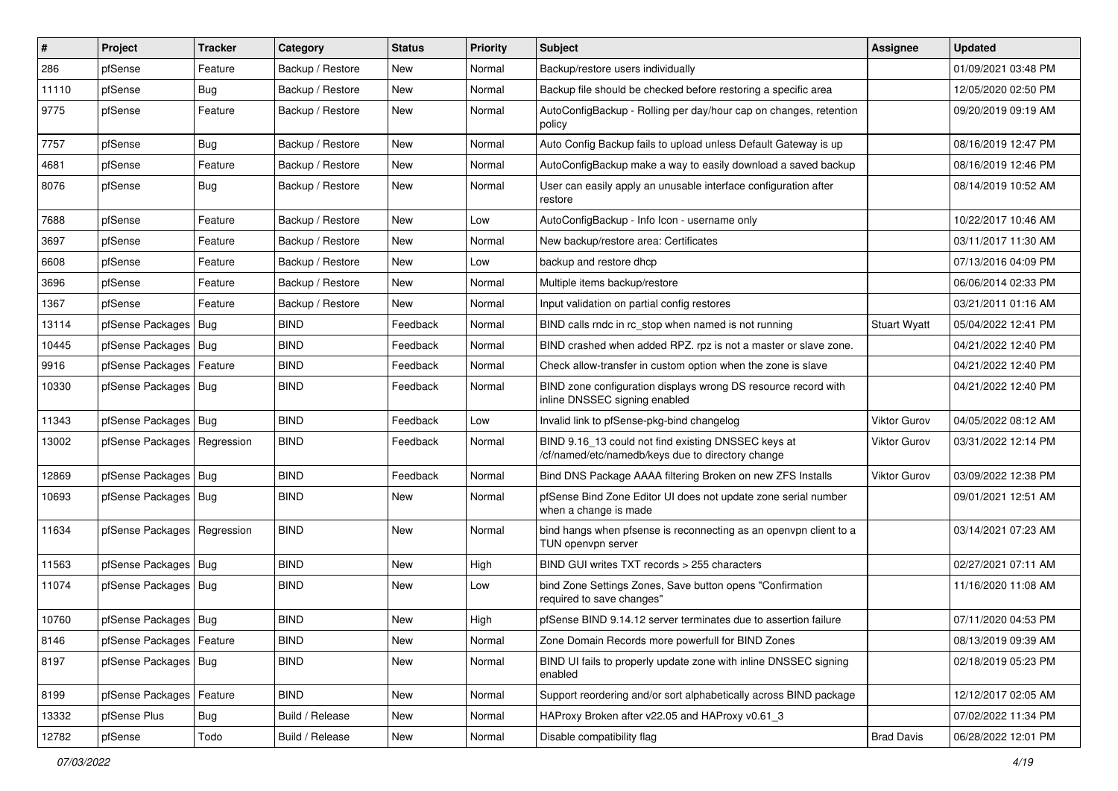| #     | Project                       | <b>Tracker</b> | Category         | <b>Status</b> | <b>Priority</b> | Subject                                                                                                  | <b>Assignee</b>     | <b>Updated</b>      |
|-------|-------------------------------|----------------|------------------|---------------|-----------------|----------------------------------------------------------------------------------------------------------|---------------------|---------------------|
| 286   | pfSense                       | Feature        | Backup / Restore | New           | Normal          | Backup/restore users individually                                                                        |                     | 01/09/2021 03:48 PM |
| 11110 | pfSense                       | Bug            | Backup / Restore | New           | Normal          | Backup file should be checked before restoring a specific area                                           |                     | 12/05/2020 02:50 PM |
| 9775  | pfSense                       | Feature        | Backup / Restore | New           | Normal          | AutoConfigBackup - Rolling per day/hour cap on changes, retention<br>policy                              |                     | 09/20/2019 09:19 AM |
| 7757  | pfSense                       | Bug            | Backup / Restore | <b>New</b>    | Normal          | Auto Config Backup fails to upload unless Default Gateway is up                                          |                     | 08/16/2019 12:47 PM |
| 4681  | pfSense                       | Feature        | Backup / Restore | New           | Normal          | AutoConfigBackup make a way to easily download a saved backup                                            |                     | 08/16/2019 12:46 PM |
| 8076  | pfSense                       | <b>Bug</b>     | Backup / Restore | New           | Normal          | User can easily apply an unusable interface configuration after<br>restore                               |                     | 08/14/2019 10:52 AM |
| 7688  | pfSense                       | Feature        | Backup / Restore | <b>New</b>    | Low             | AutoConfigBackup - Info Icon - username only                                                             |                     | 10/22/2017 10:46 AM |
| 3697  | pfSense                       | Feature        | Backup / Restore | New           | Normal          | New backup/restore area: Certificates                                                                    |                     | 03/11/2017 11:30 AM |
| 6608  | pfSense                       | Feature        | Backup / Restore | New           | Low             | backup and restore dhcp                                                                                  |                     | 07/13/2016 04:09 PM |
| 3696  | pfSense                       | Feature        | Backup / Restore | <b>New</b>    | Normal          | Multiple items backup/restore                                                                            |                     | 06/06/2014 02:33 PM |
| 1367  | pfSense                       | Feature        | Backup / Restore | <b>New</b>    | Normal          | Input validation on partial config restores                                                              |                     | 03/21/2011 01:16 AM |
| 13114 | pfSense Packages              | Bug            | <b>BIND</b>      | Feedback      | Normal          | BIND calls rndc in rc stop when named is not running                                                     | <b>Stuart Wyatt</b> | 05/04/2022 12:41 PM |
| 10445 | pfSense Packages   Bug        |                | <b>BIND</b>      | Feedback      | Normal          | BIND crashed when added RPZ. rpz is not a master or slave zone.                                          |                     | 04/21/2022 12:40 PM |
| 9916  | pfSense Packages   Feature    |                | <b>BIND</b>      | Feedback      | Normal          | Check allow-transfer in custom option when the zone is slave                                             |                     | 04/21/2022 12:40 PM |
| 10330 | pfSense Packages   Bug        |                | BIND             | Feedback      | Normal          | BIND zone configuration displays wrong DS resource record with<br>inline DNSSEC signing enabled          |                     | 04/21/2022 12:40 PM |
| 11343 | pfSense Packages   Bug        |                | <b>BIND</b>      | Feedback      | Low             | Invalid link to pfSense-pkg-bind changelog                                                               | Viktor Gurov        | 04/05/2022 08:12 AM |
| 13002 | pfSense Packages   Regression |                | <b>BIND</b>      | Feedback      | Normal          | BIND 9.16_13 could not find existing DNSSEC keys at<br>/cf/named/etc/namedb/keys due to directory change | <b>Viktor Gurov</b> | 03/31/2022 12:14 PM |
| 12869 | pfSense Packages   Bug        |                | <b>BIND</b>      | Feedback      | Normal          | Bind DNS Package AAAA filtering Broken on new ZFS Installs                                               | <b>Viktor Gurov</b> | 03/09/2022 12:38 PM |
| 10693 | pfSense Packages   Bug        |                | <b>BIND</b>      | New           | Normal          | pfSense Bind Zone Editor UI does not update zone serial number<br>when a change is made                  |                     | 09/01/2021 12:51 AM |
| 11634 | pfSense Packages   Regression |                | <b>BIND</b>      | New           | Normal          | bind hangs when pfsense is reconnecting as an openvpn client to a<br>TUN openvpn server                  |                     | 03/14/2021 07:23 AM |
| 11563 | pfSense Packages   Bug        |                | <b>BIND</b>      | New           | High            | BIND GUI writes TXT records > 255 characters                                                             |                     | 02/27/2021 07:11 AM |
| 11074 | pfSense Packages   Bug        |                | <b>BIND</b>      | New           | Low             | bind Zone Settings Zones, Save button opens "Confirmation<br>required to save changes"                   |                     | 11/16/2020 11:08 AM |
| 10760 | pfSense Packages   Bug        |                | <b>BIND</b>      | <b>New</b>    | High            | pfSense BIND 9.14.12 server terminates due to assertion failure                                          |                     | 07/11/2020 04:53 PM |
| 8146  | pfSense Packages   Feature    |                | <b>BIND</b>      | New           | Normal          | Zone Domain Records more powerfull for BIND Zones                                                        |                     | 08/13/2019 09:39 AM |
| 8197  | pfSense Packages   Bug        |                | <b>BIND</b>      | New           | Normal          | BIND UI fails to properly update zone with inline DNSSEC signing<br>enabled                              |                     | 02/18/2019 05:23 PM |
| 8199  | pfSense Packages   Feature    |                | <b>BIND</b>      | <b>New</b>    | Normal          | Support reordering and/or sort alphabetically across BIND package                                        |                     | 12/12/2017 02:05 AM |
| 13332 | pfSense Plus                  | <b>Bug</b>     | Build / Release  | New           | Normal          | HAProxy Broken after v22.05 and HAProxy v0.61_3                                                          |                     | 07/02/2022 11:34 PM |
| 12782 | pfSense                       | Todo           | Build / Release  | New           | Normal          | Disable compatibility flag                                                                               | <b>Brad Davis</b>   | 06/28/2022 12:01 PM |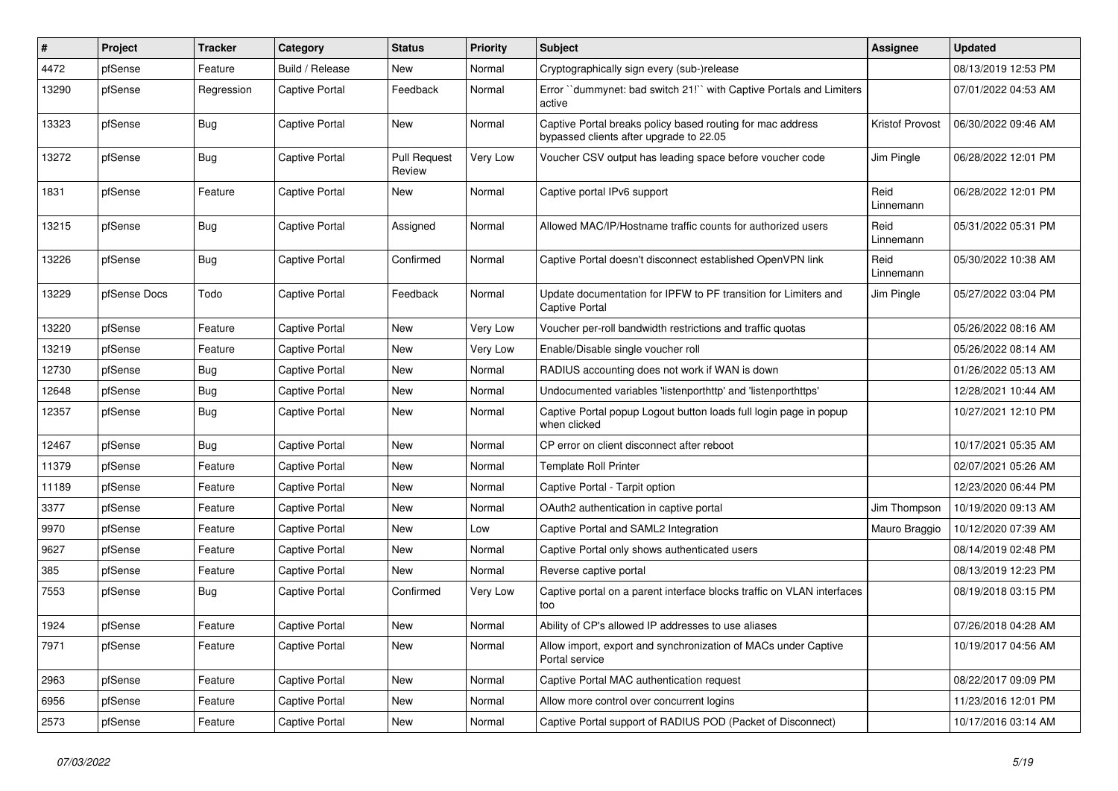| #     | Project      | <b>Tracker</b> | Category              | <b>Status</b>                 | <b>Priority</b> | <b>Subject</b>                                                                                        | <b>Assignee</b>   | <b>Updated</b>      |
|-------|--------------|----------------|-----------------------|-------------------------------|-----------------|-------------------------------------------------------------------------------------------------------|-------------------|---------------------|
| 4472  | pfSense      | Feature        | Build / Release       | <b>New</b>                    | Normal          | Cryptographically sign every (sub-)release                                                            |                   | 08/13/2019 12:53 PM |
| 13290 | pfSense      | Regression     | <b>Captive Portal</b> | Feedback                      | Normal          | Error "dummynet: bad switch 21!" with Captive Portals and Limiters<br>active                          |                   | 07/01/2022 04:53 AM |
| 13323 | pfSense      | <b>Bug</b>     | Captive Portal        | New                           | Normal          | Captive Portal breaks policy based routing for mac address<br>bypassed clients after upgrade to 22.05 | Kristof Provost   | 06/30/2022 09:46 AM |
| 13272 | pfSense      | Bug            | <b>Captive Portal</b> | <b>Pull Request</b><br>Review | Very Low        | Voucher CSV output has leading space before voucher code                                              | Jim Pingle        | 06/28/2022 12:01 PM |
| 1831  | pfSense      | Feature        | Captive Portal        | New                           | Normal          | Captive portal IPv6 support                                                                           | Reid<br>Linnemann | 06/28/2022 12:01 PM |
| 13215 | pfSense      | Bug            | Captive Portal        | Assigned                      | Normal          | Allowed MAC/IP/Hostname traffic counts for authorized users                                           | Reid<br>Linnemann | 05/31/2022 05:31 PM |
| 13226 | pfSense      | Bug            | Captive Portal        | Confirmed                     | Normal          | Captive Portal doesn't disconnect established OpenVPN link                                            | Reid<br>Linnemann | 05/30/2022 10:38 AM |
| 13229 | pfSense Docs | Todo           | Captive Portal        | Feedback                      | Normal          | Update documentation for IPFW to PF transition for Limiters and<br><b>Captive Portal</b>              | Jim Pingle        | 05/27/2022 03:04 PM |
| 13220 | pfSense      | Feature        | Captive Portal        | New                           | Very Low        | Voucher per-roll bandwidth restrictions and traffic quotas                                            |                   | 05/26/2022 08:16 AM |
| 13219 | pfSense      | Feature        | Captive Portal        | <b>New</b>                    | Very Low        | Enable/Disable single voucher roll                                                                    |                   | 05/26/2022 08:14 AM |
| 12730 | pfSense      | <b>Bug</b>     | Captive Portal        | <b>New</b>                    | Normal          | RADIUS accounting does not work if WAN is down                                                        |                   | 01/26/2022 05:13 AM |
| 12648 | pfSense      | <b>Bug</b>     | Captive Portal        | <b>New</b>                    | Normal          | Undocumented variables 'listenporthttp' and 'listenporthttps'                                         |                   | 12/28/2021 10:44 AM |
| 12357 | pfSense      | Bug            | Captive Portal        | <b>New</b>                    | Normal          | Captive Portal popup Logout button loads full login page in popup<br>when clicked                     |                   | 10/27/2021 12:10 PM |
| 12467 | pfSense      | <b>Bug</b>     | Captive Portal        | <b>New</b>                    | Normal          | CP error on client disconnect after reboot                                                            |                   | 10/17/2021 05:35 AM |
| 11379 | pfSense      | Feature        | Captive Portal        | New                           | Normal          | <b>Template Roll Printer</b>                                                                          |                   | 02/07/2021 05:26 AM |
| 11189 | pfSense      | Feature        | Captive Portal        | New                           | Normal          | Captive Portal - Tarpit option                                                                        |                   | 12/23/2020 06:44 PM |
| 3377  | pfSense      | Feature        | Captive Portal        | New                           | Normal          | OAuth2 authentication in captive portal                                                               | Jim Thompson      | 10/19/2020 09:13 AM |
| 9970  | pfSense      | Feature        | Captive Portal        | New                           | Low             | Captive Portal and SAML2 Integration                                                                  | Mauro Braggio     | 10/12/2020 07:39 AM |
| 9627  | pfSense      | Feature        | Captive Portal        | <b>New</b>                    | Normal          | Captive Portal only shows authenticated users                                                         |                   | 08/14/2019 02:48 PM |
| 385   | pfSense      | Feature        | Captive Portal        | <b>New</b>                    | Normal          | Reverse captive portal                                                                                |                   | 08/13/2019 12:23 PM |
| 7553  | pfSense      | <b>Bug</b>     | Captive Portal        | Confirmed                     | Very Low        | Captive portal on a parent interface blocks traffic on VLAN interfaces<br>too                         |                   | 08/19/2018 03:15 PM |
| 1924  | pfSense      | Feature        | Captive Portal        | New                           | Normal          | Ability of CP's allowed IP addresses to use aliases                                                   |                   | 07/26/2018 04:28 AM |
| 7971  | pfSense      | Feature        | Captive Portal        | <b>New</b>                    | Normal          | Allow import, export and synchronization of MACs under Captive<br>Portal service                      |                   | 10/19/2017 04:56 AM |
| 2963  | pfSense      | Feature        | Captive Portal        | New                           | Normal          | Captive Portal MAC authentication request                                                             |                   | 08/22/2017 09:09 PM |
| 6956  | pfSense      | Feature        | Captive Portal        | <b>New</b>                    | Normal          | Allow more control over concurrent logins                                                             |                   | 11/23/2016 12:01 PM |
| 2573  | pfSense      | Feature        | Captive Portal        | <b>New</b>                    | Normal          | Captive Portal support of RADIUS POD (Packet of Disconnect)                                           |                   | 10/17/2016 03:14 AM |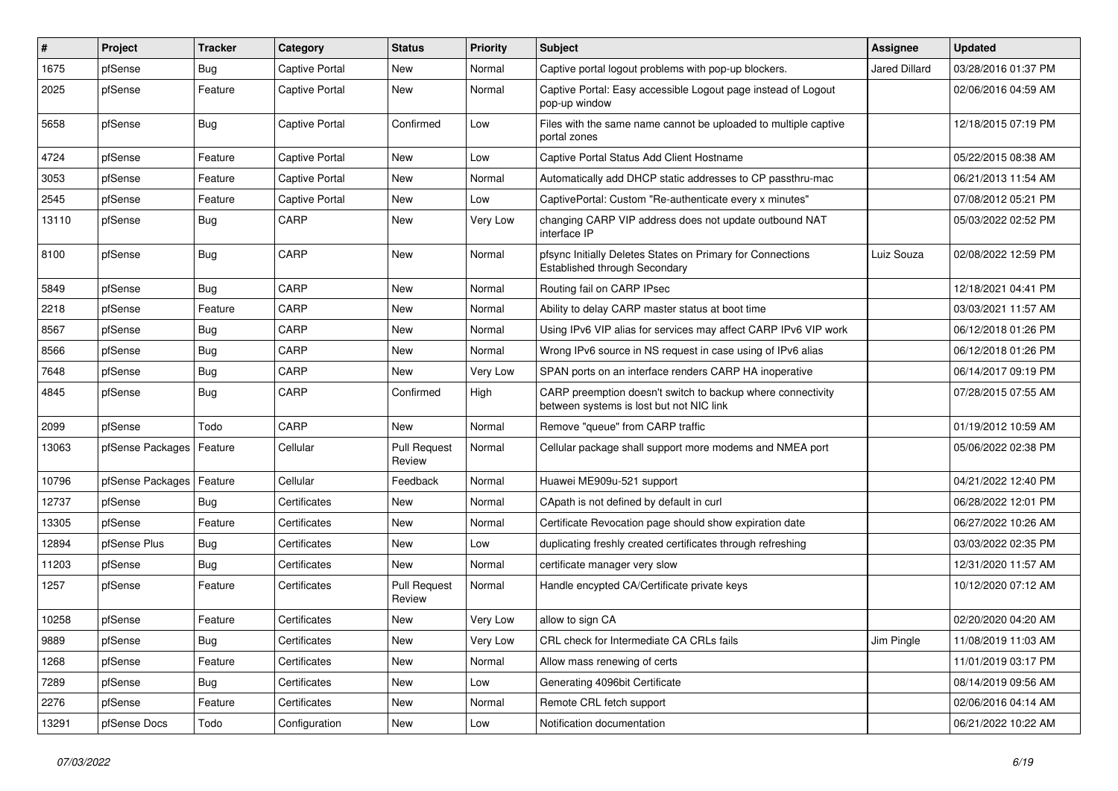| $\vert$ # | Project          | <b>Tracker</b> | Category              | <b>Status</b>                 | <b>Priority</b> | Subject                                                                                                 | <b>Assignee</b> | <b>Updated</b>      |
|-----------|------------------|----------------|-----------------------|-------------------------------|-----------------|---------------------------------------------------------------------------------------------------------|-----------------|---------------------|
| 1675      | pfSense          | <b>Bug</b>     | Captive Portal        | New                           | Normal          | Captive portal logout problems with pop-up blockers.                                                    | Jared Dillard   | 03/28/2016 01:37 PM |
| 2025      | pfSense          | Feature        | <b>Captive Portal</b> | <b>New</b>                    | Normal          | Captive Portal: Easy accessible Logout page instead of Logout<br>pop-up window                          |                 | 02/06/2016 04:59 AM |
| 5658      | pfSense          | <b>Bug</b>     | Captive Portal        | Confirmed                     | Low             | Files with the same name cannot be uploaded to multiple captive<br>portal zones                         |                 | 12/18/2015 07:19 PM |
| 4724      | pfSense          | Feature        | <b>Captive Portal</b> | New                           | Low             | Captive Portal Status Add Client Hostname                                                               |                 | 05/22/2015 08:38 AM |
| 3053      | pfSense          | Feature        | <b>Captive Portal</b> | <b>New</b>                    | Normal          | Automatically add DHCP static addresses to CP passthru-mac                                              |                 | 06/21/2013 11:54 AM |
| 2545      | pfSense          | Feature        | Captive Portal        | New                           | Low             | CaptivePortal: Custom "Re-authenticate every x minutes"                                                 |                 | 07/08/2012 05:21 PM |
| 13110     | pfSense          | Bug            | CARP                  | New                           | Very Low        | changing CARP VIP address does not update outbound NAT<br>interface IP                                  |                 | 05/03/2022 02:52 PM |
| 8100      | pfSense          | <b>Bug</b>     | CARP                  | <b>New</b>                    | Normal          | pfsync Initially Deletes States on Primary for Connections<br>Established through Secondary             | Luiz Souza      | 02/08/2022 12:59 PM |
| 5849      | pfSense          | <b>Bug</b>     | CARP                  | <b>New</b>                    | Normal          | Routing fail on CARP IPsec                                                                              |                 | 12/18/2021 04:41 PM |
| 2218      | pfSense          | Feature        | CARP                  | <b>New</b>                    | Normal          | Ability to delay CARP master status at boot time                                                        |                 | 03/03/2021 11:57 AM |
| 8567      | pfSense          | Bug            | CARP                  | <b>New</b>                    | Normal          | Using IPv6 VIP alias for services may affect CARP IPv6 VIP work                                         |                 | 06/12/2018 01:26 PM |
| 8566      | pfSense          | <b>Bug</b>     | CARP                  | <b>New</b>                    | Normal          | Wrong IPv6 source in NS request in case using of IPv6 alias                                             |                 | 06/12/2018 01:26 PM |
| 7648      | pfSense          | <b>Bug</b>     | CARP                  | <b>New</b>                    | Very Low        | SPAN ports on an interface renders CARP HA inoperative                                                  |                 | 06/14/2017 09:19 PM |
| 4845      | pfSense          | <b>Bug</b>     | CARP                  | Confirmed                     | High            | CARP preemption doesn't switch to backup where connectivity<br>between systems is lost but not NIC link |                 | 07/28/2015 07:55 AM |
| 2099      | pfSense          | Todo           | CARP                  | <b>New</b>                    | Normal          | Remove "queue" from CARP traffic                                                                        |                 | 01/19/2012 10:59 AM |
| 13063     | pfSense Packages | Feature        | Cellular              | <b>Pull Request</b><br>Review | Normal          | Cellular package shall support more modems and NMEA port                                                |                 | 05/06/2022 02:38 PM |
| 10796     | pfSense Packages | Feature        | Cellular              | Feedback                      | Normal          | Huawei ME909u-521 support                                                                               |                 | 04/21/2022 12:40 PM |
| 12737     | pfSense          | <b>Bug</b>     | Certificates          | <b>New</b>                    | Normal          | CApath is not defined by default in curl                                                                |                 | 06/28/2022 12:01 PM |
| 13305     | pfSense          | Feature        | Certificates          | <b>New</b>                    | Normal          | Certificate Revocation page should show expiration date                                                 |                 | 06/27/2022 10:26 AM |
| 12894     | pfSense Plus     | <b>Bug</b>     | Certificates          | <b>New</b>                    | Low             | duplicating freshly created certificates through refreshing                                             |                 | 03/03/2022 02:35 PM |
| 11203     | pfSense          | Bug            | Certificates          | <b>New</b>                    | Normal          | certificate manager very slow                                                                           |                 | 12/31/2020 11:57 AM |
| 1257      | pfSense          | Feature        | Certificates          | <b>Pull Request</b><br>Review | Normal          | Handle encypted CA/Certificate private keys                                                             |                 | 10/12/2020 07:12 AM |
| 10258     | pfSense          | Feature        | Certificates          | New                           | Very Low        | allow to sign CA                                                                                        |                 | 02/20/2020 04:20 AM |
| 9889      | pfSense          | <b>Bug</b>     | Certificates          | New                           | Very Low        | CRL check for Intermediate CA CRLs fails                                                                | Jim Pingle      | 11/08/2019 11:03 AM |
| 1268      | pfSense          | Feature        | Certificates          | New                           | Normal          | Allow mass renewing of certs                                                                            |                 | 11/01/2019 03:17 PM |
| 7289      | pfSense          | <b>Bug</b>     | Certificates          | New                           | Low             | Generating 4096bit Certificate                                                                          |                 | 08/14/2019 09:56 AM |
| 2276      | pfSense          | Feature        | Certificates          | New                           | Normal          | Remote CRL fetch support                                                                                |                 | 02/06/2016 04:14 AM |
| 13291     | pfSense Docs     | Todo           | Configuration         | New                           | Low             | Notification documentation                                                                              |                 | 06/21/2022 10:22 AM |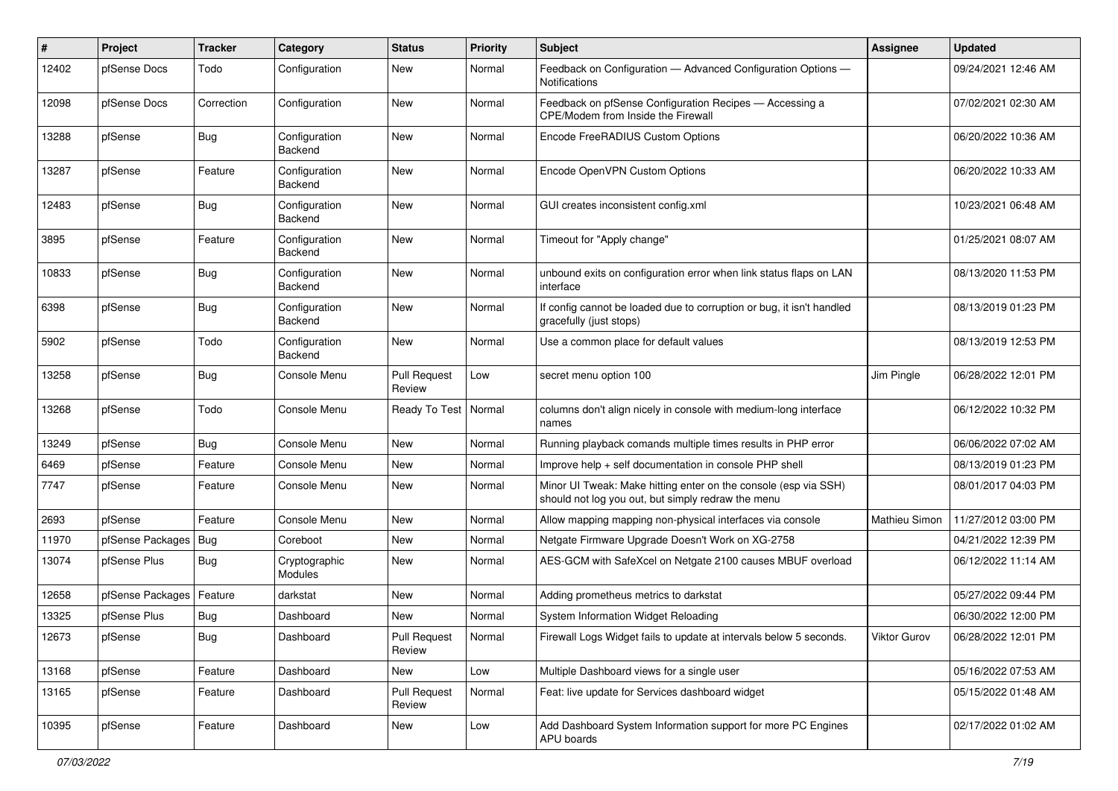| ∦     | Project          | <b>Tracker</b> | Category                        | <b>Status</b>                 | <b>Priority</b> | Subject                                                                                                               | <b>Assignee</b> | <b>Updated</b>      |
|-------|------------------|----------------|---------------------------------|-------------------------------|-----------------|-----------------------------------------------------------------------------------------------------------------------|-----------------|---------------------|
| 12402 | pfSense Docs     | Todo           | Configuration                   | <b>New</b>                    | Normal          | Feedback on Configuration - Advanced Configuration Options -<br>Notifications                                         |                 | 09/24/2021 12:46 AM |
| 12098 | pfSense Docs     | Correction     | Configuration                   | <b>New</b>                    | Normal          | Feedback on pfSense Configuration Recipes - Accessing a<br>CPE/Modem from Inside the Firewall                         |                 | 07/02/2021 02:30 AM |
| 13288 | pfSense          | Bug            | Configuration<br><b>Backend</b> | <b>New</b>                    | Normal          | Encode FreeRADIUS Custom Options                                                                                      |                 | 06/20/2022 10:36 AM |
| 13287 | pfSense          | Feature        | Configuration<br>Backend        | <b>New</b>                    | Normal          | Encode OpenVPN Custom Options                                                                                         |                 | 06/20/2022 10:33 AM |
| 12483 | pfSense          | <b>Bug</b>     | Configuration<br>Backend        | <b>New</b>                    | Normal          | GUI creates inconsistent config.xml                                                                                   |                 | 10/23/2021 06:48 AM |
| 3895  | pfSense          | Feature        | Configuration<br>Backend        | New                           | Normal          | Timeout for "Apply change"                                                                                            |                 | 01/25/2021 08:07 AM |
| 10833 | pfSense          | <b>Bug</b>     | Configuration<br>Backend        | <b>New</b>                    | Normal          | unbound exits on configuration error when link status flaps on LAN<br>interface                                       |                 | 08/13/2020 11:53 PM |
| 6398  | pfSense          | <b>Bug</b>     | Configuration<br>Backend        | <b>New</b>                    | Normal          | If config cannot be loaded due to corruption or bug, it isn't handled<br>gracefully (just stops)                      |                 | 08/13/2019 01:23 PM |
| 5902  | pfSense          | Todo           | Configuration<br>Backend        | New                           | Normal          | Use a common place for default values                                                                                 |                 | 08/13/2019 12:53 PM |
| 13258 | pfSense          | <b>Bug</b>     | Console Menu                    | <b>Pull Request</b><br>Review | Low             | secret menu option 100                                                                                                | Jim Pingle      | 06/28/2022 12:01 PM |
| 13268 | pfSense          | Todo           | Console Menu                    | Ready To Test   Normal        |                 | columns don't align nicely in console with medium-long interface<br>names                                             |                 | 06/12/2022 10:32 PM |
| 13249 | pfSense          | Bug            | Console Menu                    | <b>New</b>                    | Normal          | Running playback comands multiple times results in PHP error                                                          |                 | 06/06/2022 07:02 AM |
| 6469  | pfSense          | Feature        | Console Menu                    | <b>New</b>                    | Normal          | Improve help + self documentation in console PHP shell                                                                |                 | 08/13/2019 01:23 PM |
| 7747  | pfSense          | Feature        | Console Menu                    | New                           | Normal          | Minor UI Tweak: Make hitting enter on the console (esp via SSH)<br>should not log you out, but simply redraw the menu |                 | 08/01/2017 04:03 PM |
| 2693  | pfSense          | Feature        | Console Menu                    | New                           | Normal          | Allow mapping mapping non-physical interfaces via console                                                             | Mathieu Simon   | 11/27/2012 03:00 PM |
| 11970 | pfSense Packages | <b>Bug</b>     | Coreboot                        | New                           | Normal          | Netgate Firmware Upgrade Doesn't Work on XG-2758                                                                      |                 | 04/21/2022 12:39 PM |
| 13074 | pfSense Plus     | Bug            | Cryptographic<br>Modules        | New                           | Normal          | AES-GCM with SafeXcel on Netgate 2100 causes MBUF overload                                                            |                 | 06/12/2022 11:14 AM |
| 12658 | pfSense Packages | Feature        | darkstat                        | <b>New</b>                    | Normal          | Adding prometheus metrics to darkstat                                                                                 |                 | 05/27/2022 09:44 PM |
| 13325 | pfSense Plus     | <b>Bug</b>     | Dashboard                       | <b>New</b>                    | Normal          | System Information Widget Reloading                                                                                   |                 | 06/30/2022 12:00 PM |
| 12673 | pfSense          | <b>Bug</b>     | Dashboard                       | <b>Pull Request</b><br>Review | Normal          | Firewall Logs Widget fails to update at intervals below 5 seconds.                                                    | Viktor Gurov    | 06/28/2022 12:01 PM |
| 13168 | pfSense          | Feature        | Dashboard                       | New                           | Low             | Multiple Dashboard views for a single user                                                                            |                 | 05/16/2022 07:53 AM |
| 13165 | pfSense          | Feature        | Dashboard                       | <b>Pull Request</b><br>Review | Normal          | Feat: live update for Services dashboard widget                                                                       |                 | 05/15/2022 01:48 AM |
| 10395 | pfSense          | Feature        | Dashboard                       | New                           | Low             | Add Dashboard System Information support for more PC Engines<br><b>APU</b> boards                                     |                 | 02/17/2022 01:02 AM |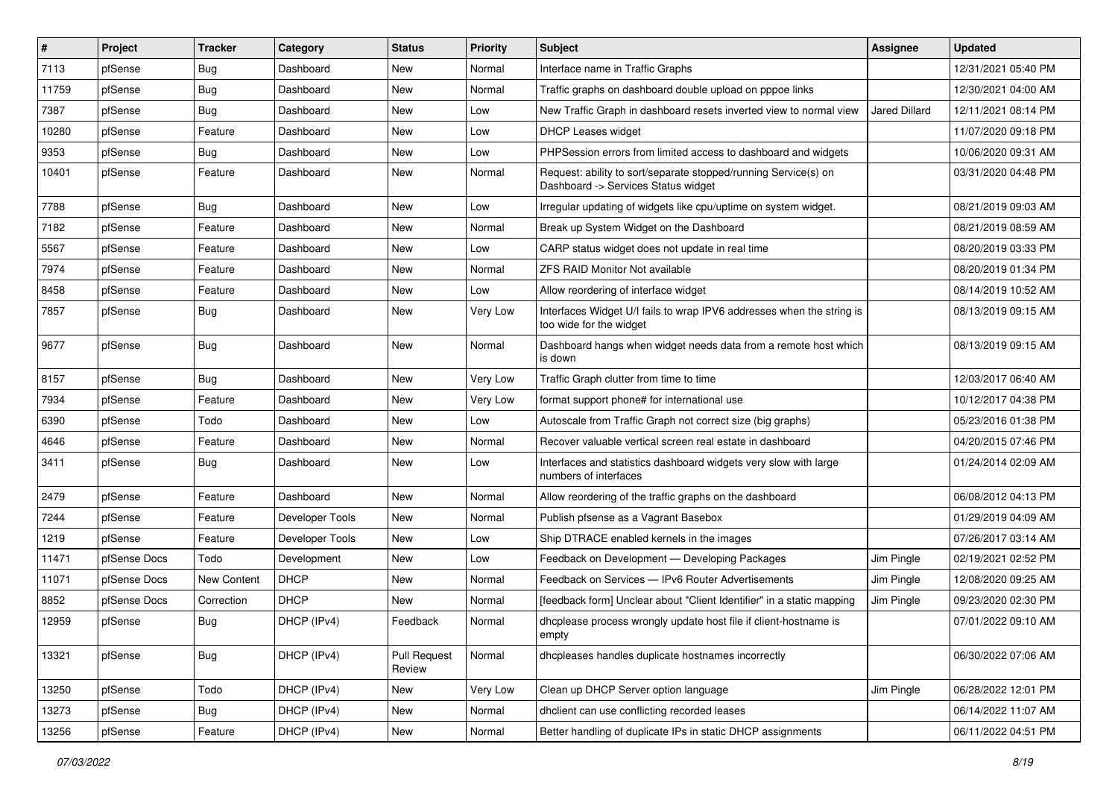| #     | Project      | <b>Tracker</b> | Category        | <b>Status</b>                 | <b>Priority</b> | Subject                                                                                                | <b>Assignee</b>      | <b>Updated</b>      |
|-------|--------------|----------------|-----------------|-------------------------------|-----------------|--------------------------------------------------------------------------------------------------------|----------------------|---------------------|
| 7113  | pfSense      | <b>Bug</b>     | Dashboard       | New                           | Normal          | Interface name in Traffic Graphs                                                                       |                      | 12/31/2021 05:40 PM |
| 11759 | pfSense      | <b>Bug</b>     | Dashboard       | New                           | Normal          | Traffic graphs on dashboard double upload on pppoe links                                               |                      | 12/30/2021 04:00 AM |
| 7387  | pfSense      | <b>Bug</b>     | Dashboard       | New                           | Low             | New Traffic Graph in dashboard resets inverted view to normal view                                     | <b>Jared Dillard</b> | 12/11/2021 08:14 PM |
| 10280 | pfSense      | Feature        | Dashboard       | <b>New</b>                    | Low             | DHCP Leases widget                                                                                     |                      | 11/07/2020 09:18 PM |
| 9353  | pfSense      | <b>Bug</b>     | Dashboard       | New                           | Low             | PHPSession errors from limited access to dashboard and widgets                                         |                      | 10/06/2020 09:31 AM |
| 10401 | pfSense      | Feature        | Dashboard       | New                           | Normal          | Request: ability to sort/separate stopped/running Service(s) on<br>Dashboard -> Services Status widget |                      | 03/31/2020 04:48 PM |
| 7788  | pfSense      | Bug            | Dashboard       | <b>New</b>                    | Low             | Irregular updating of widgets like cpu/uptime on system widget.                                        |                      | 08/21/2019 09:03 AM |
| 7182  | pfSense      | Feature        | Dashboard       | New                           | Normal          | Break up System Widget on the Dashboard                                                                |                      | 08/21/2019 08:59 AM |
| 5567  | pfSense      | Feature        | Dashboard       | <b>New</b>                    | Low             | CARP status widget does not update in real time                                                        |                      | 08/20/2019 03:33 PM |
| 7974  | pfSense      | Feature        | Dashboard       | New                           | Normal          | <b>ZFS RAID Monitor Not available</b>                                                                  |                      | 08/20/2019 01:34 PM |
| 8458  | pfSense      | Feature        | Dashboard       | New                           | Low             | Allow reordering of interface widget                                                                   |                      | 08/14/2019 10:52 AM |
| 7857  | pfSense      | <b>Bug</b>     | Dashboard       | New                           | Very Low        | Interfaces Widget U/I fails to wrap IPV6 addresses when the string is<br>too wide for the widget       |                      | 08/13/2019 09:15 AM |
| 9677  | pfSense      | Bug            | Dashboard       | New                           | Normal          | Dashboard hangs when widget needs data from a remote host which<br>is down                             |                      | 08/13/2019 09:15 AM |
| 8157  | pfSense      | Bug            | Dashboard       | New                           | Very Low        | Traffic Graph clutter from time to time                                                                |                      | 12/03/2017 06:40 AM |
| 7934  | pfSense      | Feature        | Dashboard       | New                           | Very Low        | format support phone# for international use                                                            |                      | 10/12/2017 04:38 PM |
| 6390  | pfSense      | Todo           | Dashboard       | New                           | Low             | Autoscale from Traffic Graph not correct size (big graphs)                                             |                      | 05/23/2016 01:38 PM |
| 4646  | pfSense      | Feature        | Dashboard       | <b>New</b>                    | Normal          | Recover valuable vertical screen real estate in dashboard                                              |                      | 04/20/2015 07:46 PM |
| 3411  | pfSense      | Bug            | Dashboard       | New                           | Low             | Interfaces and statistics dashboard widgets very slow with large<br>numbers of interfaces              |                      | 01/24/2014 02:09 AM |
| 2479  | pfSense      | Feature        | Dashboard       | New                           | Normal          | Allow reordering of the traffic graphs on the dashboard                                                |                      | 06/08/2012 04:13 PM |
| 7244  | pfSense      | Feature        | Developer Tools | <b>New</b>                    | Normal          | Publish pfsense as a Vagrant Basebox                                                                   |                      | 01/29/2019 04:09 AM |
| 1219  | pfSense      | Feature        | Developer Tools | New                           | Low             | Ship DTRACE enabled kernels in the images                                                              |                      | 07/26/2017 03:14 AM |
| 11471 | pfSense Docs | Todo           | Development     | New                           | Low             | Feedback on Development - Developing Packages                                                          | Jim Pingle           | 02/19/2021 02:52 PM |
| 11071 | pfSense Docs | New Content    | <b>DHCP</b>     | New                           | Normal          | Feedback on Services - IPv6 Router Advertisements                                                      | Jim Pingle           | 12/08/2020 09:25 AM |
| 8852  | pfSense Docs | Correction     | <b>DHCP</b>     | New                           | Normal          | [feedback form] Unclear about "Client Identifier" in a static mapping                                  | Jim Pingle           | 09/23/2020 02:30 PM |
| 12959 | pfSense      | Bug            | DHCP (IPv4)     | Feedback                      | Normal          | dhcplease process wrongly update host file if client-hostname is<br>empty                              |                      | 07/01/2022 09:10 AM |
| 13321 | pfSense      | Bug            | DHCP (IPv4)     | <b>Pull Request</b><br>Review | Normal          | dhcpleases handles duplicate hostnames incorrectly                                                     |                      | 06/30/2022 07:06 AM |
| 13250 | pfSense      | Todo           | DHCP (IPv4)     | New                           | Very Low        | Clean up DHCP Server option language                                                                   | Jim Pingle           | 06/28/2022 12:01 PM |
| 13273 | pfSense      | <b>Bug</b>     | DHCP (IPv4)     | New                           | Normal          | dhclient can use conflicting recorded leases                                                           |                      | 06/14/2022 11:07 AM |
| 13256 | pfSense      | Feature        | DHCP (IPv4)     | New                           | Normal          | Better handling of duplicate IPs in static DHCP assignments                                            |                      | 06/11/2022 04:51 PM |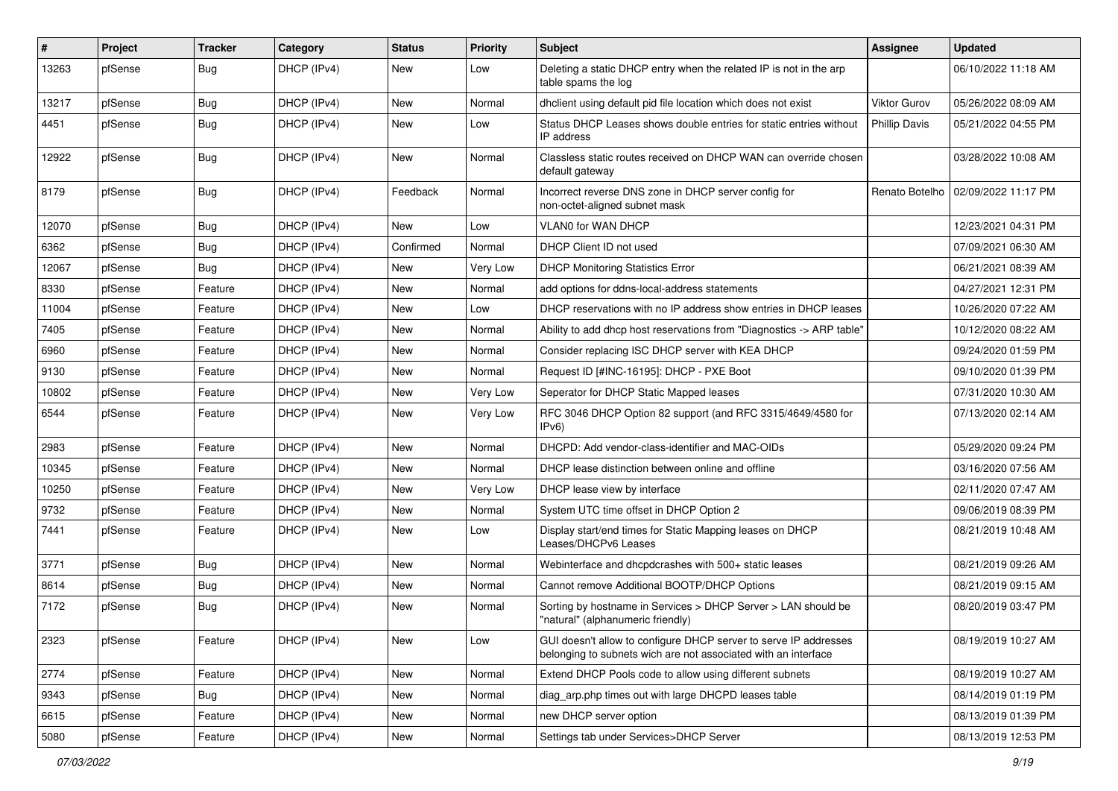| $\vert$ # | Project | <b>Tracker</b> | Category    | <b>Status</b> | <b>Priority</b> | Subject                                                                                                                            | Assignee             | <b>Updated</b>      |
|-----------|---------|----------------|-------------|---------------|-----------------|------------------------------------------------------------------------------------------------------------------------------------|----------------------|---------------------|
| 13263     | pfSense | <b>Bug</b>     | DHCP (IPv4) | New           | Low             | Deleting a static DHCP entry when the related IP is not in the arp<br>table spams the log                                          |                      | 06/10/2022 11:18 AM |
| 13217     | pfSense | <b>Bug</b>     | DHCP (IPv4) | New           | Normal          | dhclient using default pid file location which does not exist                                                                      | Viktor Gurov         | 05/26/2022 08:09 AM |
| 4451      | pfSense | Bug            | DHCP (IPv4) | New           | Low             | Status DHCP Leases shows double entries for static entries without<br>IP address                                                   | <b>Phillip Davis</b> | 05/21/2022 04:55 PM |
| 12922     | pfSense | <b>Bug</b>     | DHCP (IPv4) | New           | Normal          | Classless static routes received on DHCP WAN can override chosen<br>default gateway                                                |                      | 03/28/2022 10:08 AM |
| 8179      | pfSense | <b>Bug</b>     | DHCP (IPv4) | Feedback      | Normal          | Incorrect reverse DNS zone in DHCP server config for<br>non-octet-aligned subnet mask                                              | Renato Botelho       | 02/09/2022 11:17 PM |
| 12070     | pfSense | <b>Bug</b>     | DHCP (IPv4) | New           | Low             | VLAN0 for WAN DHCP                                                                                                                 |                      | 12/23/2021 04:31 PM |
| 6362      | pfSense | Bug            | DHCP (IPv4) | Confirmed     | Normal          | DHCP Client ID not used                                                                                                            |                      | 07/09/2021 06:30 AM |
| 12067     | pfSense | Bug            | DHCP (IPv4) | New           | Very Low        | <b>DHCP Monitoring Statistics Error</b>                                                                                            |                      | 06/21/2021 08:39 AM |
| 8330      | pfSense | Feature        | DHCP (IPv4) | New           | Normal          | add options for ddns-local-address statements                                                                                      |                      | 04/27/2021 12:31 PM |
| 11004     | pfSense | Feature        | DHCP (IPv4) | New           | Low             | DHCP reservations with no IP address show entries in DHCP leases                                                                   |                      | 10/26/2020 07:22 AM |
| 7405      | pfSense | Feature        | DHCP (IPv4) | New           | Normal          | Ability to add dhcp host reservations from "Diagnostics -> ARP table"                                                              |                      | 10/12/2020 08:22 AM |
| 6960      | pfSense | Feature        | DHCP (IPv4) | <b>New</b>    | Normal          | Consider replacing ISC DHCP server with KEA DHCP                                                                                   |                      | 09/24/2020 01:59 PM |
| 9130      | pfSense | Feature        | DHCP (IPv4) | New           | Normal          | Request ID [#INC-16195]: DHCP - PXE Boot                                                                                           |                      | 09/10/2020 01:39 PM |
| 10802     | pfSense | Feature        | DHCP (IPv4) | <b>New</b>    | Very Low        | Seperator for DHCP Static Mapped leases                                                                                            |                      | 07/31/2020 10:30 AM |
| 6544      | pfSense | Feature        | DHCP (IPv4) | New           | Very Low        | RFC 3046 DHCP Option 82 support (and RFC 3315/4649/4580 for<br>IPv6                                                                |                      | 07/13/2020 02:14 AM |
| 2983      | pfSense | Feature        | DHCP (IPv4) | New           | Normal          | DHCPD: Add vendor-class-identifier and MAC-OIDs                                                                                    |                      | 05/29/2020 09:24 PM |
| 10345     | pfSense | Feature        | DHCP (IPv4) | <b>New</b>    | Normal          | DHCP lease distinction between online and offline                                                                                  |                      | 03/16/2020 07:56 AM |
| 10250     | pfSense | Feature        | DHCP (IPv4) | New           | Very Low        | DHCP lease view by interface                                                                                                       |                      | 02/11/2020 07:47 AM |
| 9732      | pfSense | Feature        | DHCP (IPv4) | <b>New</b>    | Normal          | System UTC time offset in DHCP Option 2                                                                                            |                      | 09/06/2019 08:39 PM |
| 7441      | pfSense | Feature        | DHCP (IPv4) | New           | Low             | Display start/end times for Static Mapping leases on DHCP<br>Leases/DHCPv6 Leases                                                  |                      | 08/21/2019 10:48 AM |
| 3771      | pfSense | <b>Bug</b>     | DHCP (IPv4) | New           | Normal          | Webinterface and dhcpdcrashes with 500+ static leases                                                                              |                      | 08/21/2019 09:26 AM |
| 8614      | pfSense | <b>Bug</b>     | DHCP (IPv4) | <b>New</b>    | Normal          | Cannot remove Additional BOOTP/DHCP Options                                                                                        |                      | 08/21/2019 09:15 AM |
| 7172      | pfSense | <b>Bug</b>     | DHCP (IPv4) | New           | Normal          | Sorting by hostname in Services > DHCP Server > LAN should be<br>"natural" (alphanumeric friendly)                                 |                      | 08/20/2019 03:47 PM |
| 2323      | pfSense | Feature        | DHCP (IPv4) | New           | Low             | GUI doesn't allow to configure DHCP server to serve IP addresses<br>belonging to subnets wich are not associated with an interface |                      | 08/19/2019 10:27 AM |
| 2774      | pfSense | Feature        | DHCP (IPv4) | New           | Normal          | Extend DHCP Pools code to allow using different subnets                                                                            |                      | 08/19/2019 10:27 AM |
| 9343      | pfSense | <b>Bug</b>     | DHCP (IPv4) | New           | Normal          | diag_arp.php times out with large DHCPD leases table                                                                               |                      | 08/14/2019 01:19 PM |
| 6615      | pfSense | Feature        | DHCP (IPv4) | New           | Normal          | new DHCP server option                                                                                                             |                      | 08/13/2019 01:39 PM |
| 5080      | pfSense | Feature        | DHCP (IPv4) | New           | Normal          | Settings tab under Services>DHCP Server                                                                                            |                      | 08/13/2019 12:53 PM |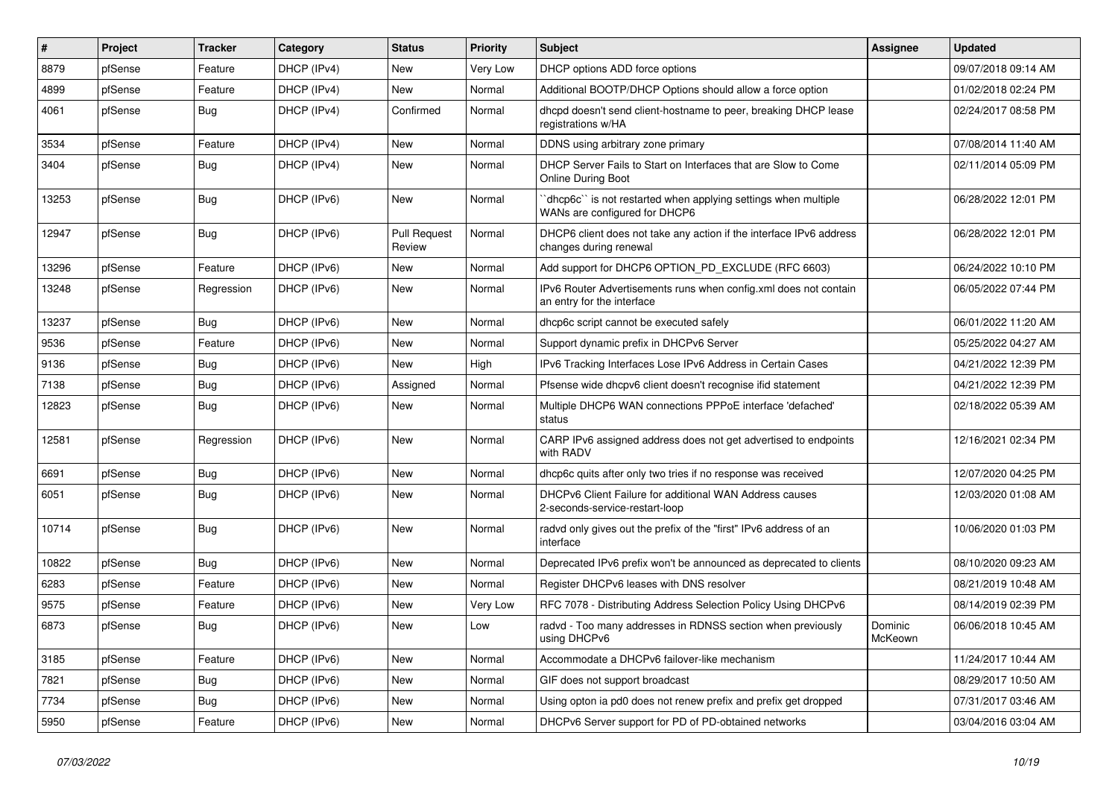| $\vert$ # | Project | <b>Tracker</b> | Category    | <b>Status</b>                 | <b>Priority</b> | <b>Subject</b>                                                                                 | <b>Assignee</b>    | <b>Updated</b>      |
|-----------|---------|----------------|-------------|-------------------------------|-----------------|------------------------------------------------------------------------------------------------|--------------------|---------------------|
| 8879      | pfSense | Feature        | DHCP (IPv4) | <b>New</b>                    | Very Low        | DHCP options ADD force options                                                                 |                    | 09/07/2018 09:14 AM |
| 4899      | pfSense | Feature        | DHCP (IPv4) | <b>New</b>                    | Normal          | Additional BOOTP/DHCP Options should allow a force option                                      |                    | 01/02/2018 02:24 PM |
| 4061      | pfSense | <b>Bug</b>     | DHCP (IPv4) | Confirmed                     | Normal          | dhcpd doesn't send client-hostname to peer, breaking DHCP lease<br>registrations w/HA          |                    | 02/24/2017 08:58 PM |
| 3534      | pfSense | Feature        | DHCP (IPv4) | New                           | Normal          | DDNS using arbitrary zone primary                                                              |                    | 07/08/2014 11:40 AM |
| 3404      | pfSense | Bug            | DHCP (IPv4) | New                           | Normal          | DHCP Server Fails to Start on Interfaces that are Slow to Come<br><b>Online During Boot</b>    |                    | 02/11/2014 05:09 PM |
| 13253     | pfSense | Bug            | DHCP (IPv6) | <b>New</b>                    | Normal          | dhcp6c" is not restarted when applying settings when multiple<br>WANs are configured for DHCP6 |                    | 06/28/2022 12:01 PM |
| 12947     | pfSense | <b>Bug</b>     | DHCP (IPv6) | <b>Pull Request</b><br>Review | Normal          | DHCP6 client does not take any action if the interface IPv6 address<br>changes during renewal  |                    | 06/28/2022 12:01 PM |
| 13296     | pfSense | Feature        | DHCP (IPv6) | <b>New</b>                    | Normal          | Add support for DHCP6 OPTION PD EXCLUDE (RFC 6603)                                             |                    | 06/24/2022 10:10 PM |
| 13248     | pfSense | Regression     | DHCP (IPv6) | New                           | Normal          | IPv6 Router Advertisements runs when config.xml does not contain<br>an entry for the interface |                    | 06/05/2022 07:44 PM |
| 13237     | pfSense | Bug            | DHCP (IPv6) | <b>New</b>                    | Normal          | dhcp6c script cannot be executed safely                                                        |                    | 06/01/2022 11:20 AM |
| 9536      | pfSense | Feature        | DHCP (IPv6) | <b>New</b>                    | Normal          | Support dynamic prefix in DHCPv6 Server                                                        |                    | 05/25/2022 04:27 AM |
| 9136      | pfSense | Bug            | DHCP (IPv6) | <b>New</b>                    | High            | IPv6 Tracking Interfaces Lose IPv6 Address in Certain Cases                                    |                    | 04/21/2022 12:39 PM |
| 7138      | pfSense | Bug            | DHCP (IPv6) | Assigned                      | Normal          | Pfsense wide dhcpv6 client doesn't recognise ifid statement                                    |                    | 04/21/2022 12:39 PM |
| 12823     | pfSense | Bug            | DHCP (IPv6) | <b>New</b>                    | Normal          | Multiple DHCP6 WAN connections PPPoE interface 'defached'<br>status                            |                    | 02/18/2022 05:39 AM |
| 12581     | pfSense | Regression     | DHCP (IPv6) | New                           | Normal          | CARP IPv6 assigned address does not get advertised to endpoints<br>with RADV                   |                    | 12/16/2021 02:34 PM |
| 6691      | pfSense | <b>Bug</b>     | DHCP (IPv6) | <b>New</b>                    | Normal          | dhcp6c quits after only two tries if no response was received                                  |                    | 12/07/2020 04:25 PM |
| 6051      | pfSense | Bug            | DHCP (IPv6) | <b>New</b>                    | Normal          | DHCPv6 Client Failure for additional WAN Address causes<br>2-seconds-service-restart-loop      |                    | 12/03/2020 01:08 AM |
| 10714     | pfSense | <b>Bug</b>     | DHCP (IPv6) | <b>New</b>                    | Normal          | radvd only gives out the prefix of the "first" IPv6 address of an<br>interface                 |                    | 10/06/2020 01:03 PM |
| 10822     | pfSense | <b>Bug</b>     | DHCP (IPv6) | <b>New</b>                    | Normal          | Deprecated IPv6 prefix won't be announced as deprecated to clients                             |                    | 08/10/2020 09:23 AM |
| 6283      | pfSense | Feature        | DHCP (IPv6) | <b>New</b>                    | Normal          | Register DHCPv6 leases with DNS resolver                                                       |                    | 08/21/2019 10:48 AM |
| 9575      | pfSense | Feature        | DHCP (IPv6) | New                           | Very Low        | RFC 7078 - Distributing Address Selection Policy Using DHCPv6                                  |                    | 08/14/2019 02:39 PM |
| 6873      | pfSense | Bug            | DHCP (IPv6) | New                           | Low             | radvd - Too many addresses in RDNSS section when previously<br>using DHCPv6                    | Dominic<br>McKeown | 06/06/2018 10:45 AM |
| 3185      | pfSense | Feature        | DHCP (IPv6) | <b>New</b>                    | Normal          | Accommodate a DHCPv6 failover-like mechanism                                                   |                    | 11/24/2017 10:44 AM |
| 7821      | pfSense | <b>Bug</b>     | DHCP (IPv6) | <b>New</b>                    | Normal          | GIF does not support broadcast                                                                 |                    | 08/29/2017 10:50 AM |
| 7734      | pfSense | Bug            | DHCP (IPv6) | New                           | Normal          | Using opton ia pd0 does not renew prefix and prefix get dropped                                |                    | 07/31/2017 03:46 AM |
| 5950      | pfSense | Feature        | DHCP (IPv6) | New                           | Normal          | DHCPv6 Server support for PD of PD-obtained networks                                           |                    | 03/04/2016 03:04 AM |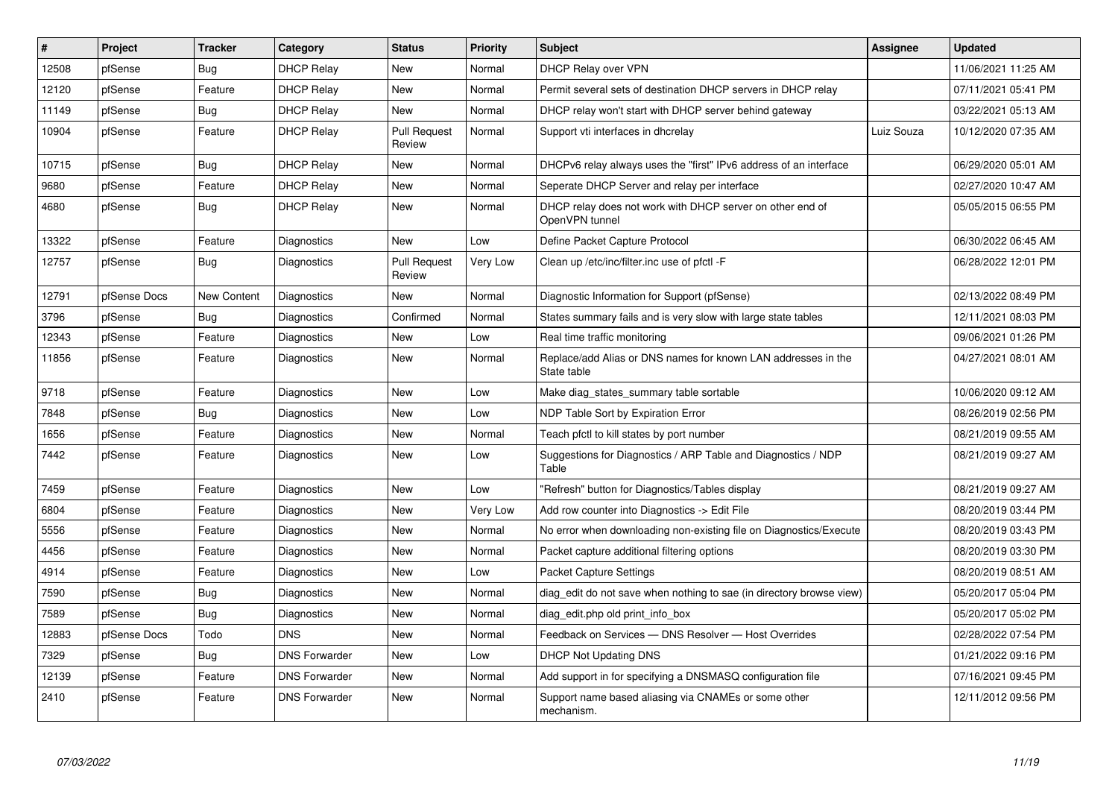| $\vert$ # | Project      | <b>Tracker</b> | Category             | <b>Status</b>          | <b>Priority</b> | <b>Subject</b>                                                               | Assignee   | <b>Updated</b>      |
|-----------|--------------|----------------|----------------------|------------------------|-----------------|------------------------------------------------------------------------------|------------|---------------------|
| 12508     | pfSense      | <b>Bug</b>     | <b>DHCP Relay</b>    | <b>New</b>             | Normal          | DHCP Relay over VPN                                                          |            | 11/06/2021 11:25 AM |
| 12120     | pfSense      | Feature        | <b>DHCP Relay</b>    | New                    | Normal          | Permit several sets of destination DHCP servers in DHCP relay                |            | 07/11/2021 05:41 PM |
| 11149     | pfSense      | <b>Bug</b>     | <b>DHCP Relay</b>    | <b>New</b>             | Normal          | DHCP relay won't start with DHCP server behind gateway                       |            | 03/22/2021 05:13 AM |
| 10904     | pfSense      | Feature        | <b>DHCP Relay</b>    | Pull Request<br>Review | Normal          | Support vti interfaces in dhcrelay                                           | Luiz Souza | 10/12/2020 07:35 AM |
| 10715     | pfSense      | Bug            | <b>DHCP Relay</b>    | New                    | Normal          | DHCPv6 relay always uses the "first" IPv6 address of an interface            |            | 06/29/2020 05:01 AM |
| 9680      | pfSense      | Feature        | <b>DHCP Relay</b>    | <b>New</b>             | Normal          | Seperate DHCP Server and relay per interface                                 |            | 02/27/2020 10:47 AM |
| 4680      | pfSense      | <b>Bug</b>     | <b>DHCP Relay</b>    | New                    | Normal          | DHCP relay does not work with DHCP server on other end of<br>OpenVPN tunnel  |            | 05/05/2015 06:55 PM |
| 13322     | pfSense      | Feature        | Diagnostics          | <b>New</b>             | Low             | Define Packet Capture Protocol                                               |            | 06/30/2022 06:45 AM |
| 12757     | pfSense      | Bug            | Diagnostics          | Pull Request<br>Review | Very Low        | Clean up /etc/inc/filter.inc use of pfctl -F                                 |            | 06/28/2022 12:01 PM |
| 12791     | pfSense Docs | New Content    | Diagnostics          | <b>New</b>             | Normal          | Diagnostic Information for Support (pfSense)                                 |            | 02/13/2022 08:49 PM |
| 3796      | pfSense      | Bug            | Diagnostics          | Confirmed              | Normal          | States summary fails and is very slow with large state tables                |            | 12/11/2021 08:03 PM |
| 12343     | pfSense      | Feature        | Diagnostics          | New                    | Low             | Real time traffic monitoring                                                 |            | 09/06/2021 01:26 PM |
| 11856     | pfSense      | Feature        | Diagnostics          | <b>New</b>             | Normal          | Replace/add Alias or DNS names for known LAN addresses in the<br>State table |            | 04/27/2021 08:01 AM |
| 9718      | pfSense      | Feature        | Diagnostics          | <b>New</b>             | Low             | Make diag states summary table sortable                                      |            | 10/06/2020 09:12 AM |
| 7848      | pfSense      | <b>Bug</b>     | Diagnostics          | <b>New</b>             | Low             | NDP Table Sort by Expiration Error                                           |            | 08/26/2019 02:56 PM |
| 1656      | pfSense      | Feature        | Diagnostics          | <b>New</b>             | Normal          | Teach pfctl to kill states by port number                                    |            | 08/21/2019 09:55 AM |
| 7442      | pfSense      | Feature        | Diagnostics          | <b>New</b>             | Low             | Suggestions for Diagnostics / ARP Table and Diagnostics / NDP<br>Table       |            | 08/21/2019 09:27 AM |
| 7459      | pfSense      | Feature        | Diagnostics          | <b>New</b>             | Low             | "Refresh" button for Diagnostics/Tables display                              |            | 08/21/2019 09:27 AM |
| 6804      | pfSense      | Feature        | Diagnostics          | <b>New</b>             | Very Low        | Add row counter into Diagnostics -> Edit File                                |            | 08/20/2019 03:44 PM |
| 5556      | pfSense      | Feature        | Diagnostics          | New                    | Normal          | No error when downloading non-existing file on Diagnostics/Execute           |            | 08/20/2019 03:43 PM |
| 4456      | pfSense      | Feature        | Diagnostics          | <b>New</b>             | Normal          | Packet capture additional filtering options                                  |            | 08/20/2019 03:30 PM |
| 4914      | pfSense      | Feature        | Diagnostics          | <b>New</b>             | Low             | <b>Packet Capture Settings</b>                                               |            | 08/20/2019 08:51 AM |
| 7590      | pfSense      | <b>Bug</b>     | Diagnostics          | <b>New</b>             | Normal          | diag edit do not save when nothing to sae (in directory browse view)         |            | 05/20/2017 05:04 PM |
| 7589      | pfSense      | <b>Bug</b>     | Diagnostics          | New                    | Normal          | diag edit.php old print info box                                             |            | 05/20/2017 05:02 PM |
| 12883     | pfSense Docs | Todo           | <b>DNS</b>           | <b>New</b>             | Normal          | Feedback on Services - DNS Resolver - Host Overrides                         |            | 02/28/2022 07:54 PM |
| 7329      | pfSense      | <b>Bug</b>     | <b>DNS Forwarder</b> | New                    | Low             | DHCP Not Updating DNS                                                        |            | 01/21/2022 09:16 PM |
| 12139     | pfSense      | Feature        | <b>DNS Forwarder</b> | New                    | Normal          | Add support in for specifying a DNSMASQ configuration file                   |            | 07/16/2021 09:45 PM |
| 2410      | pfSense      | Feature        | <b>DNS Forwarder</b> | <b>New</b>             | Normal          | Support name based aliasing via CNAMEs or some other<br>mechanism.           |            | 12/11/2012 09:56 PM |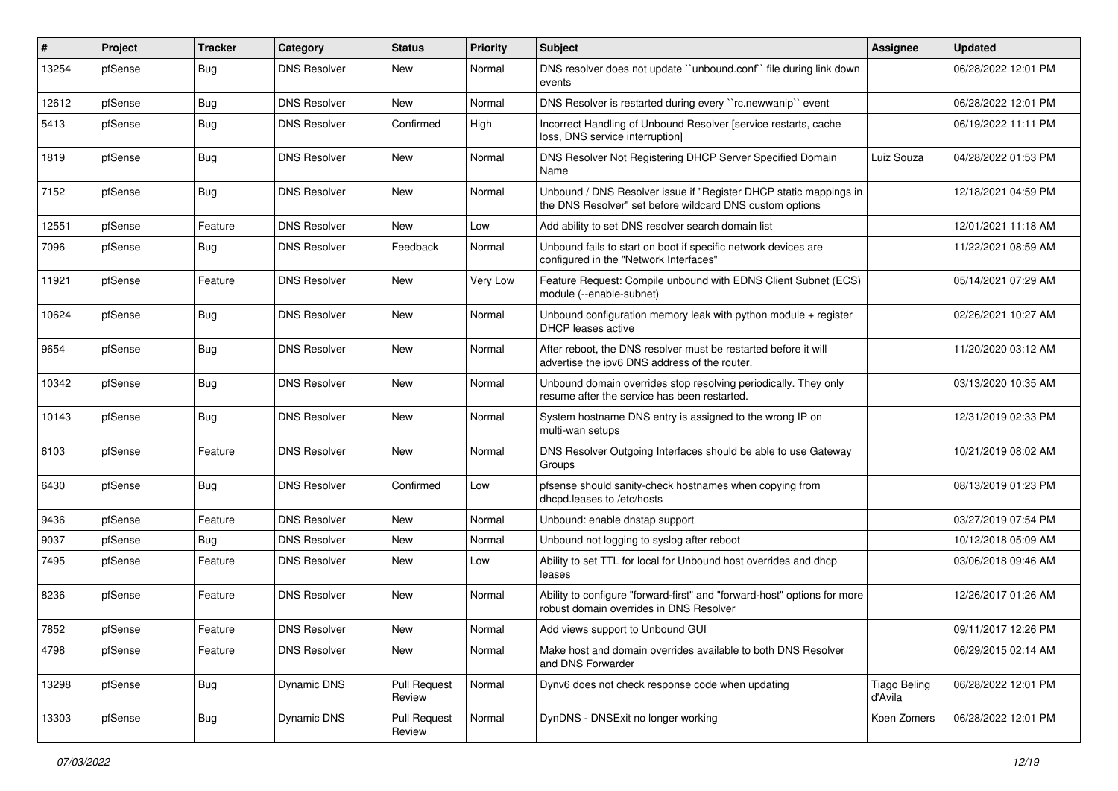| $\vert$ # | Project | <b>Tracker</b> | Category            | <b>Status</b>                 | <b>Priority</b> | Subject                                                                                                                       | <b>Assignee</b>                | <b>Updated</b>      |
|-----------|---------|----------------|---------------------|-------------------------------|-----------------|-------------------------------------------------------------------------------------------------------------------------------|--------------------------------|---------------------|
| 13254     | pfSense | Bug            | <b>DNS Resolver</b> | New                           | Normal          | DNS resolver does not update "unbound.conf" file during link down<br>events                                                   |                                | 06/28/2022 12:01 PM |
| 12612     | pfSense | Bug            | <b>DNS Resolver</b> | <b>New</b>                    | Normal          | DNS Resolver is restarted during every "rc.newwanip" event                                                                    |                                | 06/28/2022 12:01 PM |
| 5413      | pfSense | <b>Bug</b>     | <b>DNS Resolver</b> | Confirmed                     | High            | Incorrect Handling of Unbound Resolver [service restarts, cache<br>loss, DNS service interruption]                            |                                | 06/19/2022 11:11 PM |
| 1819      | pfSense | Bug            | <b>DNS Resolver</b> | New                           | Normal          | DNS Resolver Not Registering DHCP Server Specified Domain<br>Name                                                             | Luiz Souza                     | 04/28/2022 01:53 PM |
| 7152      | pfSense | <b>Bug</b>     | <b>DNS Resolver</b> | <b>New</b>                    | Normal          | Unbound / DNS Resolver issue if "Register DHCP static mappings in<br>the DNS Resolver" set before wildcard DNS custom options |                                | 12/18/2021 04:59 PM |
| 12551     | pfSense | Feature        | <b>DNS Resolver</b> | New                           | Low             | Add ability to set DNS resolver search domain list                                                                            |                                | 12/01/2021 11:18 AM |
| 7096      | pfSense | Bug            | <b>DNS Resolver</b> | Feedback                      | Normal          | Unbound fails to start on boot if specific network devices are<br>configured in the "Network Interfaces"                      |                                | 11/22/2021 08:59 AM |
| 11921     | pfSense | Feature        | <b>DNS Resolver</b> | <b>New</b>                    | Very Low        | Feature Request: Compile unbound with EDNS Client Subnet (ECS)<br>module (--enable-subnet)                                    |                                | 05/14/2021 07:29 AM |
| 10624     | pfSense | Bug            | <b>DNS Resolver</b> | <b>New</b>                    | Normal          | Unbound configuration memory leak with python module + register<br><b>DHCP</b> leases active                                  |                                | 02/26/2021 10:27 AM |
| 9654      | pfSense | Bug            | <b>DNS Resolver</b> | New                           | Normal          | After reboot, the DNS resolver must be restarted before it will<br>advertise the ipv6 DNS address of the router.              |                                | 11/20/2020 03:12 AM |
| 10342     | pfSense | <b>Bug</b>     | <b>DNS Resolver</b> | <b>New</b>                    | Normal          | Unbound domain overrides stop resolving periodically. They only<br>resume after the service has been restarted.               |                                | 03/13/2020 10:35 AM |
| 10143     | pfSense | <b>Bug</b>     | <b>DNS Resolver</b> | New                           | Normal          | System hostname DNS entry is assigned to the wrong IP on<br>multi-wan setups                                                  |                                | 12/31/2019 02:33 PM |
| 6103      | pfSense | Feature        | <b>DNS Resolver</b> | New                           | Normal          | DNS Resolver Outgoing Interfaces should be able to use Gateway<br>Groups                                                      |                                | 10/21/2019 08:02 AM |
| 6430      | pfSense | Bug            | <b>DNS Resolver</b> | Confirmed                     | Low             | pfsense should sanity-check hostnames when copying from<br>dhcpd.leases to /etc/hosts                                         |                                | 08/13/2019 01:23 PM |
| 9436      | pfSense | Feature        | <b>DNS Resolver</b> | <b>New</b>                    | Normal          | Unbound: enable dnstap support                                                                                                |                                | 03/27/2019 07:54 PM |
| 9037      | pfSense | <b>Bug</b>     | <b>DNS Resolver</b> | New                           | Normal          | Unbound not logging to syslog after reboot                                                                                    |                                | 10/12/2018 05:09 AM |
| 7495      | pfSense | Feature        | <b>DNS Resolver</b> | <b>New</b>                    | Low             | Ability to set TTL for local for Unbound host overrides and dhcp<br>leases                                                    |                                | 03/06/2018 09:46 AM |
| 8236      | pfSense | Feature        | <b>DNS Resolver</b> | <b>New</b>                    | Normal          | Ability to configure "forward-first" and "forward-host" options for more<br>robust domain overrides in DNS Resolver           |                                | 12/26/2017 01:26 AM |
| 7852      | pfSense | Feature        | <b>DNS Resolver</b> | New                           | Normal          | Add views support to Unbound GUI                                                                                              |                                | 09/11/2017 12:26 PM |
| 4798      | pfSense | Feature        | <b>DNS Resolver</b> | New                           | Normal          | Make host and domain overrides available to both DNS Resolver<br>and DNS Forwarder                                            |                                | 06/29/2015 02:14 AM |
| 13298     | pfSense | Bug            | Dynamic DNS         | <b>Pull Request</b><br>Review | Normal          | Dynv6 does not check response code when updating                                                                              | <b>Tiago Beling</b><br>d'Avila | 06/28/2022 12:01 PM |
| 13303     | pfSense | Bug            | Dynamic DNS         | <b>Pull Request</b><br>Review | Normal          | DynDNS - DNSExit no longer working                                                                                            | Koen Zomers                    | 06/28/2022 12:01 PM |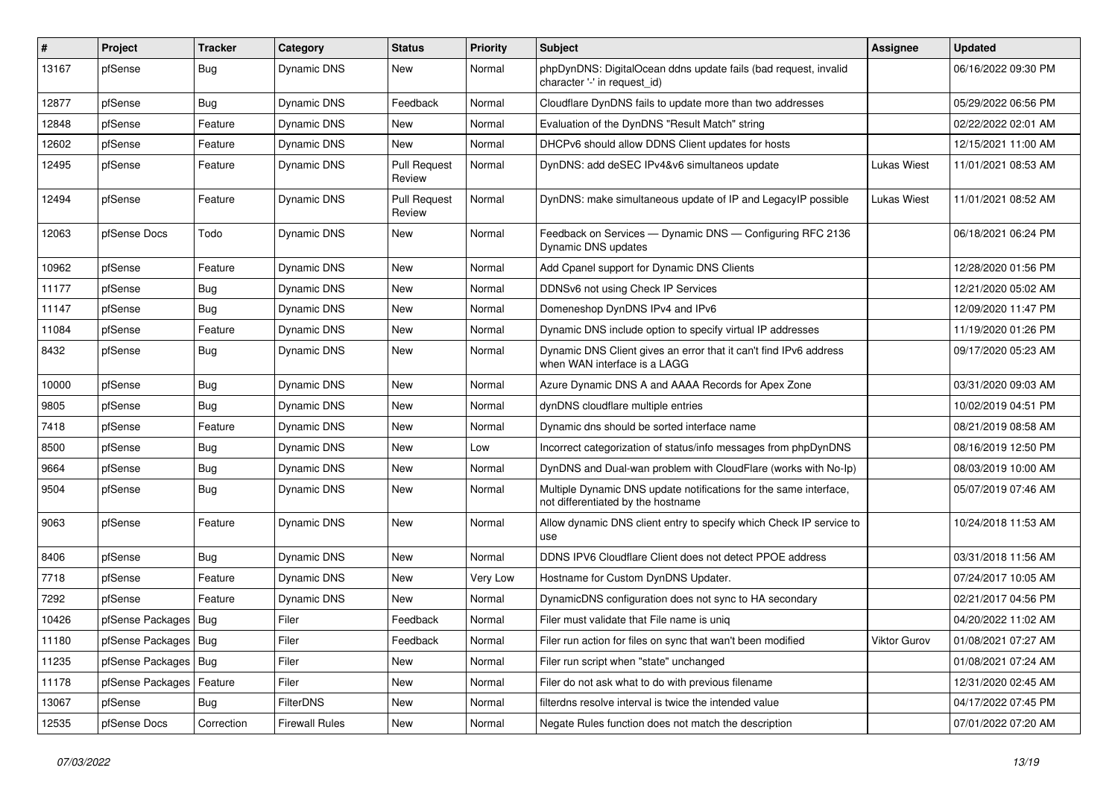| #     | Project                    | <b>Tracker</b> | Category              | <b>Status</b>                 | <b>Priority</b> | Subject                                                                                                 | Assignee     | <b>Updated</b>      |
|-------|----------------------------|----------------|-----------------------|-------------------------------|-----------------|---------------------------------------------------------------------------------------------------------|--------------|---------------------|
| 13167 | pfSense                    | <b>Bug</b>     | Dynamic DNS           | New                           | Normal          | phpDynDNS: DigitalOcean ddns update fails (bad request, invalid<br>character '-' in request id)         |              | 06/16/2022 09:30 PM |
| 12877 | pfSense                    | Bug            | Dynamic DNS           | Feedback                      | Normal          | Cloudflare DynDNS fails to update more than two addresses                                               |              | 05/29/2022 06:56 PM |
| 12848 | pfSense                    | Feature        | Dynamic DNS           | <b>New</b>                    | Normal          | Evaluation of the DynDNS "Result Match" string                                                          |              | 02/22/2022 02:01 AM |
| 12602 | pfSense                    | Feature        | Dynamic DNS           | <b>New</b>                    | Normal          | DHCPv6 should allow DDNS Client updates for hosts                                                       |              | 12/15/2021 11:00 AM |
| 12495 | pfSense                    | Feature        | Dynamic DNS           | <b>Pull Request</b><br>Review | Normal          | DynDNS: add deSEC IPv4&v6 simultaneos update                                                            | Lukas Wiest  | 11/01/2021 08:53 AM |
| 12494 | pfSense                    | Feature        | Dynamic DNS           | <b>Pull Request</b><br>Review | Normal          | DynDNS: make simultaneous update of IP and LegacyIP possible                                            | Lukas Wiest  | 11/01/2021 08:52 AM |
| 12063 | pfSense Docs               | Todo           | Dynamic DNS           | New                           | Normal          | Feedback on Services - Dynamic DNS - Configuring RFC 2136<br>Dynamic DNS updates                        |              | 06/18/2021 06:24 PM |
| 10962 | pfSense                    | Feature        | Dynamic DNS           | New                           | Normal          | Add Cpanel support for Dynamic DNS Clients                                                              |              | 12/28/2020 01:56 PM |
| 11177 | pfSense                    | <b>Bug</b>     | Dynamic DNS           | New                           | Normal          | DDNSv6 not using Check IP Services                                                                      |              | 12/21/2020 05:02 AM |
| 11147 | pfSense                    | Bug            | Dynamic DNS           | New                           | Normal          | Domeneshop DynDNS IPv4 and IPv6                                                                         |              | 12/09/2020 11:47 PM |
| 11084 | pfSense                    | Feature        | Dynamic DNS           | New                           | Normal          | Dynamic DNS include option to specify virtual IP addresses                                              |              | 11/19/2020 01:26 PM |
| 8432  | pfSense                    | <b>Bug</b>     | Dynamic DNS           | New                           | Normal          | Dynamic DNS Client gives an error that it can't find IPv6 address<br>when WAN interface is a LAGG       |              | 09/17/2020 05:23 AM |
| 10000 | pfSense                    | <b>Bug</b>     | Dynamic DNS           | New                           | Normal          | Azure Dynamic DNS A and AAAA Records for Apex Zone                                                      |              | 03/31/2020 09:03 AM |
| 9805  | pfSense                    | Bug            | Dynamic DNS           | New                           | Normal          | dynDNS cloudflare multiple entries                                                                      |              | 10/02/2019 04:51 PM |
| 7418  | pfSense                    | Feature        | Dynamic DNS           | <b>New</b>                    | Normal          | Dynamic dns should be sorted interface name                                                             |              | 08/21/2019 08:58 AM |
| 8500  | pfSense                    | <b>Bug</b>     | Dynamic DNS           | <b>New</b>                    | Low             | Incorrect categorization of status/info messages from phpDynDNS                                         |              | 08/16/2019 12:50 PM |
| 9664  | pfSense                    | <b>Bug</b>     | Dynamic DNS           | New                           | Normal          | DynDNS and Dual-wan problem with CloudFlare (works with No-Ip)                                          |              | 08/03/2019 10:00 AM |
| 9504  | pfSense                    | Bug            | Dynamic DNS           | New                           | Normal          | Multiple Dynamic DNS update notifications for the same interface,<br>not differentiated by the hostname |              | 05/07/2019 07:46 AM |
| 9063  | pfSense                    | Feature        | Dynamic DNS           | <b>New</b>                    | Normal          | Allow dynamic DNS client entry to specify which Check IP service to<br>use                              |              | 10/24/2018 11:53 AM |
| 8406  | pfSense                    | Bug            | Dynamic DNS           | New                           | Normal          | DDNS IPV6 Cloudflare Client does not detect PPOE address                                                |              | 03/31/2018 11:56 AM |
| 7718  | pfSense                    | Feature        | Dynamic DNS           | New                           | Very Low        | Hostname for Custom DynDNS Updater.                                                                     |              | 07/24/2017 10:05 AM |
| 7292  | pfSense                    | Feature        | Dynamic DNS           | <b>New</b>                    | Normal          | DynamicDNS configuration does not sync to HA secondary                                                  |              | 02/21/2017 04:56 PM |
| 10426 | pfSense Packages   Bug     |                | Filer                 | Feedback                      | Normal          | Filer must validate that File name is unig                                                              |              | 04/20/2022 11:02 AM |
| 11180 | pfSense Packages   Bug     |                | Filer                 | Feedback                      | Normal          | Filer run action for files on sync that wan't been modified                                             | Viktor Gurov | 01/08/2021 07:27 AM |
| 11235 | pfSense Packages   Bug     |                | Filer                 | New                           | Normal          | Filer run script when "state" unchanged                                                                 |              | 01/08/2021 07:24 AM |
| 11178 | pfSense Packages   Feature |                | Filer                 | New                           | Normal          | Filer do not ask what to do with previous filename                                                      |              | 12/31/2020 02:45 AM |
| 13067 | pfSense                    | <b>Bug</b>     | FilterDNS             | New                           | Normal          | filterdns resolve interval is twice the intended value                                                  |              | 04/17/2022 07:45 PM |
| 12535 | pfSense Docs               | Correction     | <b>Firewall Rules</b> | New                           | Normal          | Negate Rules function does not match the description                                                    |              | 07/01/2022 07:20 AM |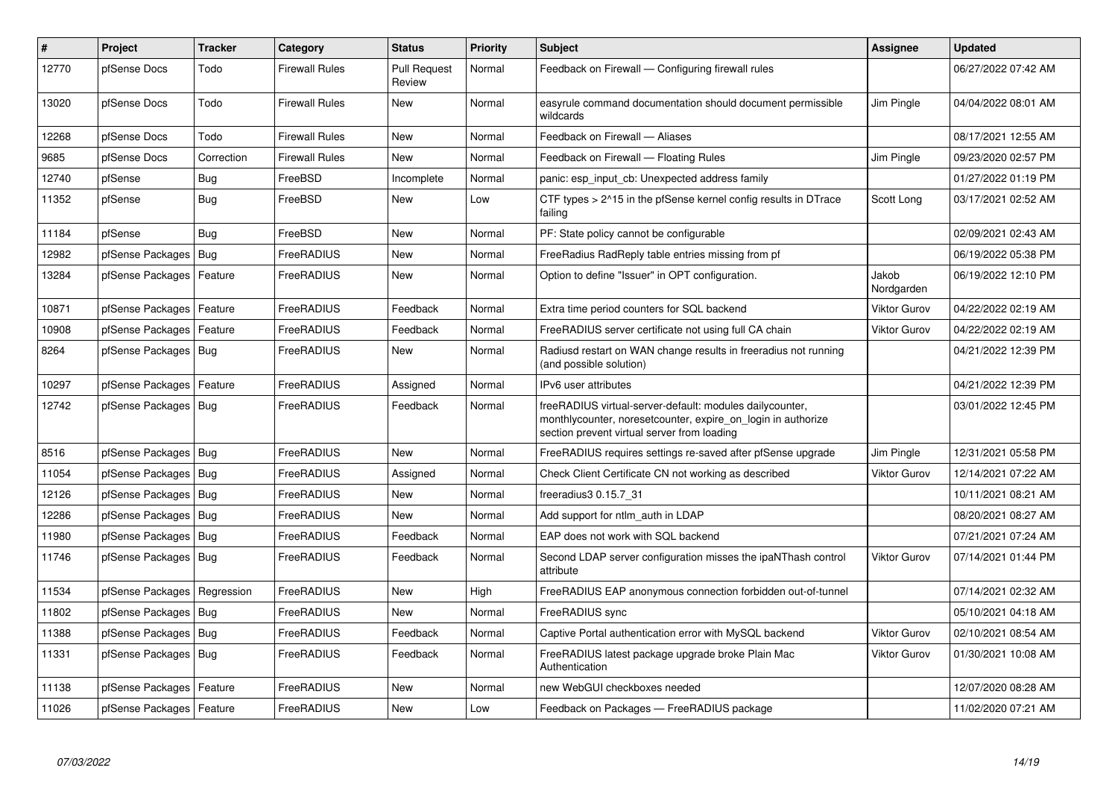| #     | Project                       | <b>Tracker</b> | Category              | <b>Status</b>                 | <b>Priority</b> | <b>Subject</b>                                                                                                                                                          | Assignee            | <b>Updated</b>      |
|-------|-------------------------------|----------------|-----------------------|-------------------------------|-----------------|-------------------------------------------------------------------------------------------------------------------------------------------------------------------------|---------------------|---------------------|
| 12770 | pfSense Docs                  | Todo           | Firewall Rules        | <b>Pull Request</b><br>Review | Normal          | Feedback on Firewall - Configuring firewall rules                                                                                                                       |                     | 06/27/2022 07:42 AM |
| 13020 | pfSense Docs                  | Todo           | Firewall Rules        | New                           | Normal          | easyrule command documentation should document permissible<br>wildcards                                                                                                 | Jim Pingle          | 04/04/2022 08:01 AM |
| 12268 | pfSense Docs                  | Todo           | <b>Firewall Rules</b> | <b>New</b>                    | Normal          | Feedback on Firewall - Aliases                                                                                                                                          |                     | 08/17/2021 12:55 AM |
| 9685  | pfSense Docs                  | Correction     | Firewall Rules        | <b>New</b>                    | Normal          | Feedback on Firewall - Floating Rules                                                                                                                                   | Jim Pingle          | 09/23/2020 02:57 PM |
| 12740 | pfSense                       | <b>Bug</b>     | FreeBSD               | Incomplete                    | Normal          | panic: esp input cb: Unexpected address family                                                                                                                          |                     | 01/27/2022 01:19 PM |
| 11352 | pfSense                       | <b>Bug</b>     | FreeBSD               | <b>New</b>                    | Low             | CTF types $> 215$ in the pfSense kernel config results in DTrace<br>failing                                                                                             | Scott Long          | 03/17/2021 02:52 AM |
| 11184 | pfSense                       | Bug            | FreeBSD               | <b>New</b>                    | Normal          | PF: State policy cannot be configurable                                                                                                                                 |                     | 02/09/2021 02:43 AM |
| 12982 | pfSense Packages   Bug        |                | FreeRADIUS            | <b>New</b>                    | Normal          | FreeRadius RadReply table entries missing from pf                                                                                                                       |                     | 06/19/2022 05:38 PM |
| 13284 | pfSense Packages              | Feature        | FreeRADIUS            | <b>New</b>                    | Normal          | Option to define "Issuer" in OPT configuration.                                                                                                                         | Jakob<br>Nordgarden | 06/19/2022 12:10 PM |
| 10871 | pfSense Packages   Feature    |                | FreeRADIUS            | Feedback                      | Normal          | Extra time period counters for SQL backend                                                                                                                              | <b>Viktor Gurov</b> | 04/22/2022 02:19 AM |
| 10908 | pfSense Packages              | Feature        | FreeRADIUS            | Feedback                      | Normal          | FreeRADIUS server certificate not using full CA chain                                                                                                                   | <b>Viktor Gurov</b> | 04/22/2022 02:19 AM |
| 8264  | pfSense Packages   Bug        |                | FreeRADIUS            | <b>New</b>                    | Normal          | Radiusd restart on WAN change results in freeradius not running<br>(and possible solution)                                                                              |                     | 04/21/2022 12:39 PM |
| 10297 | pfSense Packages              | Feature        | FreeRADIUS            | Assigned                      | Normal          | IPv6 user attributes                                                                                                                                                    |                     | 04/21/2022 12:39 PM |
| 12742 | pfSense Packages   Bug        |                | FreeRADIUS            | Feedback                      | Normal          | freeRADIUS virtual-server-default: modules dailycounter,<br>monthlycounter, noresetcounter, expire on login in authorize<br>section prevent virtual server from loading |                     | 03/01/2022 12:45 PM |
| 8516  | pfSense Packages   Bug        |                | FreeRADIUS            | <b>New</b>                    | Normal          | FreeRADIUS requires settings re-saved after pfSense upgrade                                                                                                             | Jim Pingle          | 12/31/2021 05:58 PM |
| 11054 | pfSense Packages   Bug        |                | FreeRADIUS            | Assigned                      | Normal          | Check Client Certificate CN not working as described                                                                                                                    | <b>Viktor Gurov</b> | 12/14/2021 07:22 AM |
| 12126 | pfSense Packages   Bug        |                | FreeRADIUS            | <b>New</b>                    | Normal          | freeradius3 0.15.7 31                                                                                                                                                   |                     | 10/11/2021 08:21 AM |
| 12286 | pfSense Packages   Bug        |                | FreeRADIUS            | <b>New</b>                    | Normal          | Add support for ntlm auth in LDAP                                                                                                                                       |                     | 08/20/2021 08:27 AM |
| 11980 | pfSense Packages   Bug        |                | FreeRADIUS            | Feedback                      | Normal          | EAP does not work with SQL backend                                                                                                                                      |                     | 07/21/2021 07:24 AM |
| 11746 | pfSense Packages   Bug        |                | FreeRADIUS            | Feedback                      | Normal          | Second LDAP server configuration misses the ipaNThash control<br>attribute                                                                                              | <b>Viktor Gurov</b> | 07/14/2021 01:44 PM |
| 11534 | pfSense Packages   Regression |                | FreeRADIUS            | <b>New</b>                    | High            | FreeRADIUS EAP anonymous connection forbidden out-of-tunnel                                                                                                             |                     | 07/14/2021 02:32 AM |
| 11802 | pfSense Packages   Bug        |                | FreeRADIUS            | <b>New</b>                    | Normal          | FreeRADIUS sync                                                                                                                                                         |                     | 05/10/2021 04:18 AM |
| 11388 | pfSense Packages   Bug        |                | FreeRADIUS            | Feedback                      | Normal          | Captive Portal authentication error with MySQL backend                                                                                                                  | <b>Viktor Gurov</b> | 02/10/2021 08:54 AM |
| 11331 | pfSense Packages   Bug        |                | FreeRADIUS            | Feedback                      | Normal          | FreeRADIUS latest package upgrade broke Plain Mac<br>Authentication                                                                                                     | <b>Viktor Gurov</b> | 01/30/2021 10:08 AM |
| 11138 | pfSense Packages   Feature    |                | FreeRADIUS            | New                           | Normal          | new WebGUI checkboxes needed                                                                                                                                            |                     | 12/07/2020 08:28 AM |
| 11026 | pfSense Packages   Feature    |                | FreeRADIUS            | <b>New</b>                    | Low             | Feedback on Packages - FreeRADIUS package                                                                                                                               |                     | 11/02/2020 07:21 AM |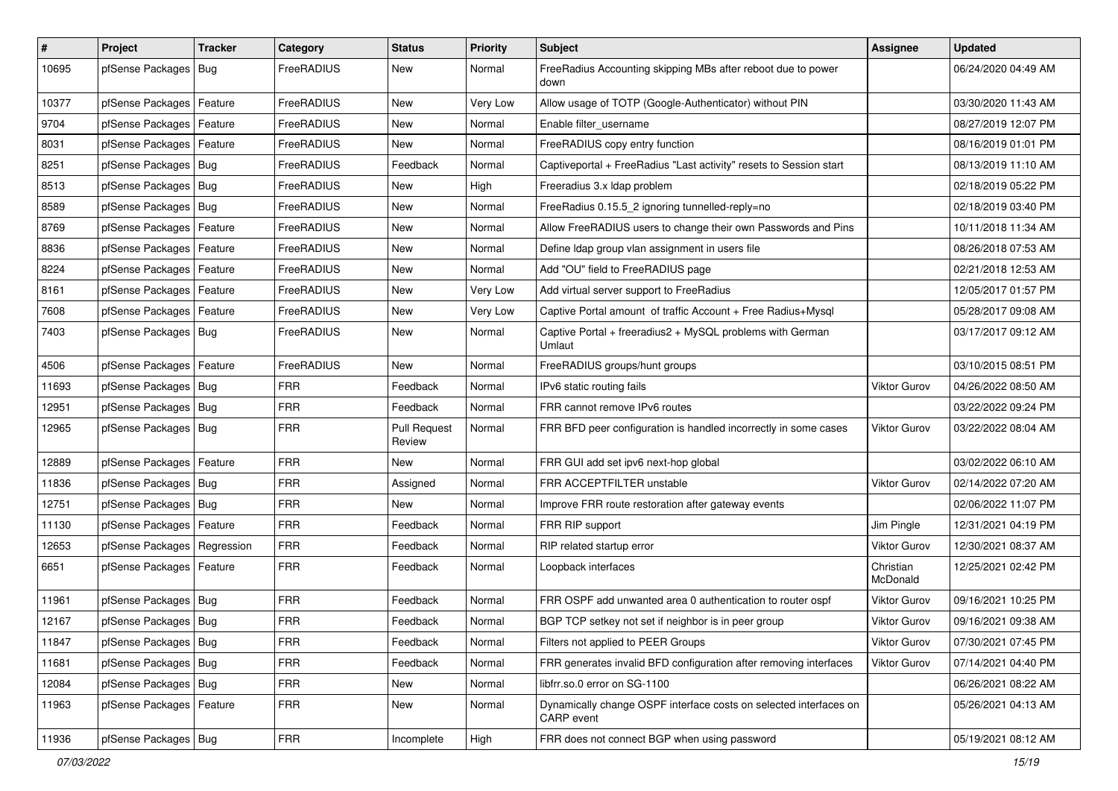| $\sharp$ | Project                       | <b>Tracker</b> | Category          | <b>Status</b>                 | <b>Priority</b> | Subject                                                                         | Assignee              | <b>Updated</b>      |
|----------|-------------------------------|----------------|-------------------|-------------------------------|-----------------|---------------------------------------------------------------------------------|-----------------------|---------------------|
| 10695    | pfSense Packages   Bug        |                | FreeRADIUS        | New                           | Normal          | FreeRadius Accounting skipping MBs after reboot due to power<br>down            |                       | 06/24/2020 04:49 AM |
| 10377    | pfSense Packages   Feature    |                | FreeRADIUS        | New                           | Very Low        | Allow usage of TOTP (Google-Authenticator) without PIN                          |                       | 03/30/2020 11:43 AM |
| 9704     | pfSense Packages   Feature    |                | FreeRADIUS        | <b>New</b>                    | Normal          | Enable filter_username                                                          |                       | 08/27/2019 12:07 PM |
| 8031     | pfSense Packages   Feature    |                | FreeRADIUS        | <b>New</b>                    | Normal          | FreeRADIUS copy entry function                                                  |                       | 08/16/2019 01:01 PM |
| 8251     | pfSense Packages   Bug        |                | FreeRADIUS        | Feedback                      | Normal          | Captiveportal + FreeRadius "Last activity" resets to Session start              |                       | 08/13/2019 11:10 AM |
| 8513     | pfSense Packages   Bug        |                | FreeRADIUS        | New                           | High            | Freeradius 3.x Idap problem                                                     |                       | 02/18/2019 05:22 PM |
| 8589     | pfSense Packages   Bug        |                | FreeRADIUS        | New                           | Normal          | FreeRadius 0.15.5 2 ignoring tunnelled-reply=no                                 |                       | 02/18/2019 03:40 PM |
| 8769     | pfSense Packages   Feature    |                | FreeRADIUS        | New                           | Normal          | Allow FreeRADIUS users to change their own Passwords and Pins                   |                       | 10/11/2018 11:34 AM |
| 8836     | pfSense Packages   Feature    |                | FreeRADIUS        | New                           | Normal          | Define Idap group vlan assignment in users file                                 |                       | 08/26/2018 07:53 AM |
| 8224     | pfSense Packages   Feature    |                | FreeRADIUS        | New                           | Normal          | Add "OU" field to FreeRADIUS page                                               |                       | 02/21/2018 12:53 AM |
| 8161     | pfSense Packages   Feature    |                | FreeRADIUS        | New                           | Very Low        | Add virtual server support to FreeRadius                                        |                       | 12/05/2017 01:57 PM |
| 7608     | pfSense Packages   Feature    |                | FreeRADIUS        | New                           | Very Low        | Captive Portal amount of traffic Account + Free Radius+Mysql                    |                       | 05/28/2017 09:08 AM |
| 7403     | pfSense Packages   Bug        |                | FreeRADIUS        | New                           | Normal          | Captive Portal + freeradius2 + MySQL problems with German<br>Umlaut             |                       | 03/17/2017 09:12 AM |
| 4506     | pfSense Packages   Feature    |                | <b>FreeRADIUS</b> | <b>New</b>                    | Normal          | FreeRADIUS groups/hunt groups                                                   |                       | 03/10/2015 08:51 PM |
| 11693    | pfSense Packages   Bug        |                | <b>FRR</b>        | Feedback                      | Normal          | IPv6 static routing fails                                                       | Viktor Gurov          | 04/26/2022 08:50 AM |
| 12951    | pfSense Packages   Bug        |                | <b>FRR</b>        | Feedback                      | Normal          | FRR cannot remove IPv6 routes                                                   |                       | 03/22/2022 09:24 PM |
| 12965    | pfSense Packages   Bug        |                | <b>FRR</b>        | <b>Pull Request</b><br>Review | Normal          | FRR BFD peer configuration is handled incorrectly in some cases                 | <b>Viktor Gurov</b>   | 03/22/2022 08:04 AM |
| 12889    | pfSense Packages   Feature    |                | <b>FRR</b>        | <b>New</b>                    | Normal          | FRR GUI add set ipv6 next-hop global                                            |                       | 03/02/2022 06:10 AM |
| 11836    | pfSense Packages   Bug        |                | <b>FRR</b>        | Assigned                      | Normal          | FRR ACCEPTFILTER unstable                                                       | Viktor Gurov          | 02/14/2022 07:20 AM |
| 12751    | pfSense Packages   Bug        |                | <b>FRR</b>        | <b>New</b>                    | Normal          | Improve FRR route restoration after gateway events                              |                       | 02/06/2022 11:07 PM |
| 11130    | pfSense Packages   Feature    |                | <b>FRR</b>        | Feedback                      | Normal          | FRR RIP support                                                                 | Jim Pingle            | 12/31/2021 04:19 PM |
| 12653    | pfSense Packages   Regression |                | <b>FRR</b>        | Feedback                      | Normal          | RIP related startup error                                                       | <b>Viktor Gurov</b>   | 12/30/2021 08:37 AM |
| 6651     | pfSense Packages   Feature    |                | <b>FRR</b>        | Feedback                      | Normal          | Loopback interfaces                                                             | Christian<br>McDonald | 12/25/2021 02:42 PM |
| 11961    | pfSense Packages   Bug        |                | <b>FRR</b>        | Feedback                      | Normal          | FRR OSPF add unwanted area 0 authentication to router ospf                      | Viktor Gurov          | 09/16/2021 10:25 PM |
| 12167    | pfSense Packages   Bug        |                | <b>FRR</b>        | Feedback                      | Normal          | BGP TCP setkey not set if neighbor is in peer group                             | Viktor Gurov          | 09/16/2021 09:38 AM |
| 11847    | pfSense Packages   Bug        |                | <b>FRR</b>        | Feedback                      | Normal          | Filters not applied to PEER Groups                                              | Viktor Gurov          | 07/30/2021 07:45 PM |
| 11681    | pfSense Packages   Bug        |                | <b>FRR</b>        | Feedback                      | Normal          | FRR generates invalid BFD configuration after removing interfaces               | Viktor Gurov          | 07/14/2021 04:40 PM |
| 12084    | pfSense Packages   Bug        |                | FRR               | New                           | Normal          | libfrr.so.0 error on SG-1100                                                    |                       | 06/26/2021 08:22 AM |
| 11963    | pfSense Packages   Feature    |                | <b>FRR</b>        | New                           | Normal          | Dynamically change OSPF interface costs on selected interfaces on<br>CARP event |                       | 05/26/2021 04:13 AM |
| 11936    | pfSense Packages   Bug        |                | <b>FRR</b>        | Incomplete                    | High            | FRR does not connect BGP when using password                                    |                       | 05/19/2021 08:12 AM |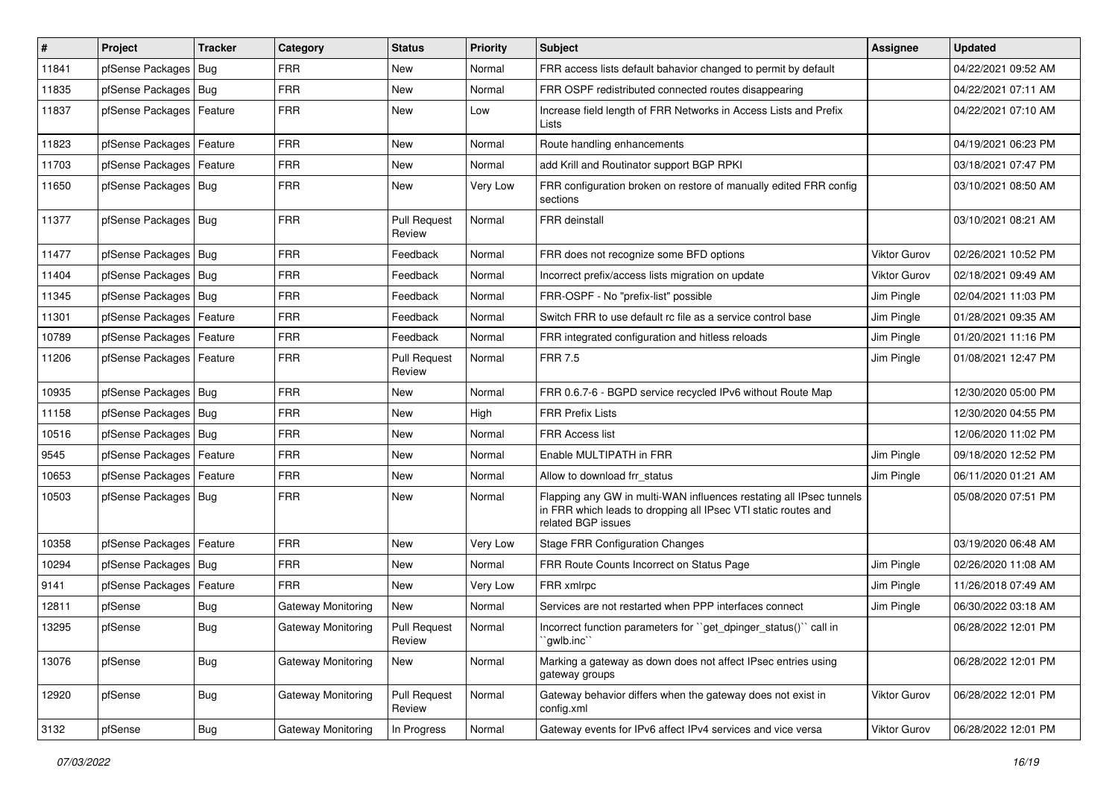| #     | Project                    | <b>Tracker</b> | Category           | <b>Status</b>                 | <b>Priority</b> | <b>Subject</b>                                                                                                                                              | <b>Assignee</b>     | <b>Updated</b>      |
|-------|----------------------------|----------------|--------------------|-------------------------------|-----------------|-------------------------------------------------------------------------------------------------------------------------------------------------------------|---------------------|---------------------|
| 11841 | pfSense Packages   Bug     |                | <b>FRR</b>         | New                           | Normal          | FRR access lists default bahavior changed to permit by default                                                                                              |                     | 04/22/2021 09:52 AM |
| 11835 | pfSense Packages   Bug     |                | <b>FRR</b>         | <b>New</b>                    | Normal          | FRR OSPF redistributed connected routes disappearing                                                                                                        |                     | 04/22/2021 07:11 AM |
| 11837 | pfSense Packages   Feature |                | <b>FRR</b>         | New                           | Low             | Increase field length of FRR Networks in Access Lists and Prefix<br>Lists                                                                                   |                     | 04/22/2021 07:10 AM |
| 11823 | pfSense Packages   Feature |                | <b>FRR</b>         | <b>New</b>                    | Normal          | Route handling enhancements                                                                                                                                 |                     | 04/19/2021 06:23 PM |
| 11703 | pfSense Packages           | Feature        | <b>FRR</b>         | New                           | Normal          | add Krill and Routinator support BGP RPKI                                                                                                                   |                     | 03/18/2021 07:47 PM |
| 11650 | pfSense Packages   Bug     |                | <b>FRR</b>         | New                           | Very Low        | FRR configuration broken on restore of manually edited FRR config<br>sections                                                                               |                     | 03/10/2021 08:50 AM |
| 11377 | pfSense Packages   Bug     |                | <b>FRR</b>         | <b>Pull Request</b><br>Review | Normal          | FRR deinstall                                                                                                                                               |                     | 03/10/2021 08:21 AM |
| 11477 | pfSense Packages   Bug     |                | <b>FRR</b>         | Feedback                      | Normal          | FRR does not recognize some BFD options                                                                                                                     | Viktor Gurov        | 02/26/2021 10:52 PM |
| 11404 | pfSense Packages   Bug     |                | <b>FRR</b>         | Feedback                      | Normal          | Incorrect prefix/access lists migration on update                                                                                                           | <b>Viktor Gurov</b> | 02/18/2021 09:49 AM |
| 11345 | pfSense Packages   Bug     |                | <b>FRR</b>         | Feedback                      | Normal          | FRR-OSPF - No "prefix-list" possible                                                                                                                        | Jim Pingle          | 02/04/2021 11:03 PM |
| 11301 | pfSense Packages   Feature |                | <b>FRR</b>         | Feedback                      | Normal          | Switch FRR to use default rc file as a service control base                                                                                                 | Jim Pingle          | 01/28/2021 09:35 AM |
| 10789 | pfSense Packages   Feature |                | <b>FRR</b>         | Feedback                      | Normal          | FRR integrated configuration and hitless reloads                                                                                                            | Jim Pingle          | 01/20/2021 11:16 PM |
| 11206 | pfSense Packages   Feature |                | <b>FRR</b>         | <b>Pull Request</b><br>Review | Normal          | <b>FRR 7.5</b>                                                                                                                                              | Jim Pingle          | 01/08/2021 12:47 PM |
| 10935 | pfSense Packages   Bug     |                | <b>FRR</b>         | <b>New</b>                    | Normal          | FRR 0.6.7-6 - BGPD service recycled IPv6 without Route Map                                                                                                  |                     | 12/30/2020 05:00 PM |
| 11158 | pfSense Packages   Bug     |                | <b>FRR</b>         | New                           | High            | <b>FRR Prefix Lists</b>                                                                                                                                     |                     | 12/30/2020 04:55 PM |
| 10516 | pfSense Packages   Bug     |                | <b>FRR</b>         | New                           | Normal          | <b>FRR Access list</b>                                                                                                                                      |                     | 12/06/2020 11:02 PM |
| 9545  | pfSense Packages   Feature |                | <b>FRR</b>         | <b>New</b>                    | Normal          | Enable MULTIPATH in FRR                                                                                                                                     | Jim Pingle          | 09/18/2020 12:52 PM |
| 10653 | pfSense Packages   Feature |                | <b>FRR</b>         | New                           | Normal          | Allow to download frr status                                                                                                                                | Jim Pingle          | 06/11/2020 01:21 AM |
| 10503 | pfSense Packages   Bug     |                | <b>FRR</b>         | New                           | Normal          | Flapping any GW in multi-WAN influences restating all IPsec tunnels<br>in FRR which leads to dropping all IPsec VTI static routes and<br>related BGP issues |                     | 05/08/2020 07:51 PM |
| 10358 | pfSense Packages           | Feature        | <b>FRR</b>         | <b>New</b>                    | Very Low        | <b>Stage FRR Configuration Changes</b>                                                                                                                      |                     | 03/19/2020 06:48 AM |
| 10294 | pfSense Packages   Bug     |                | <b>FRR</b>         | New                           | Normal          | FRR Route Counts Incorrect on Status Page                                                                                                                   | Jim Pingle          | 02/26/2020 11:08 AM |
| 9141  | pfSense Packages   Feature |                | <b>FRR</b>         | <b>New</b>                    | Very Low        | FRR xmlrpc                                                                                                                                                  | Jim Pingle          | 11/26/2018 07:49 AM |
| 12811 | pfSense                    | Bug            | Gateway Monitoring | New                           | Normal          | Services are not restarted when PPP interfaces connect                                                                                                      | Jim Pingle          | 06/30/2022 03:18 AM |
| 13295 | pfSense                    | <b>Bug</b>     | Gateway Monitoring | <b>Pull Request</b><br>Review | Normal          | Incorrect function parameters for "get_dpinger_status()" call in<br>`gwlb.inc``                                                                             |                     | 06/28/2022 12:01 PM |
| 13076 | pfSense                    | <b>Bug</b>     | Gateway Monitoring | New                           | Normal          | Marking a gateway as down does not affect IPsec entries using<br>gateway groups                                                                             |                     | 06/28/2022 12:01 PM |
| 12920 | pfSense                    | <b>Bug</b>     | Gateway Monitoring | <b>Pull Request</b><br>Review | Normal          | Gateway behavior differs when the gateway does not exist in<br>config.xml                                                                                   | <b>Viktor Gurov</b> | 06/28/2022 12:01 PM |
| 3132  | pfSense                    | <b>Bug</b>     | Gateway Monitoring | In Progress                   | Normal          | Gateway events for IPv6 affect IPv4 services and vice versa                                                                                                 | Viktor Gurov        | 06/28/2022 12:01 PM |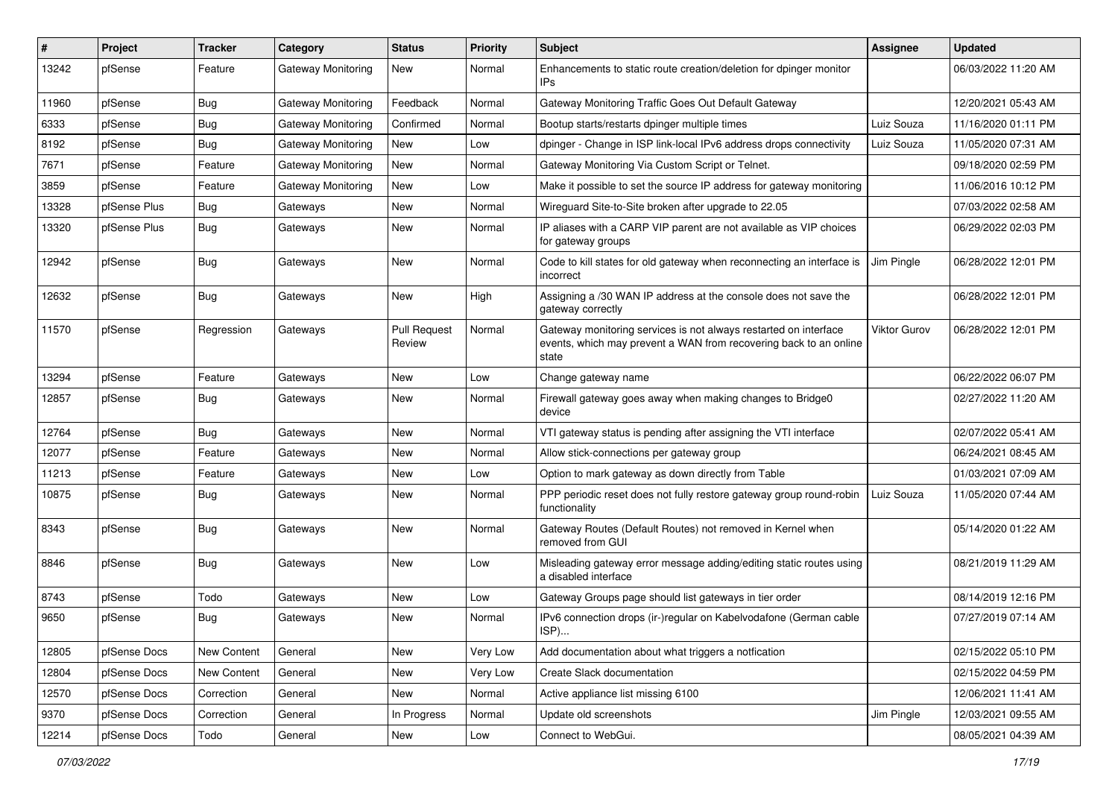| ∦     | Project      | <b>Tracker</b> | Category                  | <b>Status</b>                 | <b>Priority</b> | <b>Subject</b>                                                                                                                                 | <b>Assignee</b>     | <b>Updated</b>      |
|-------|--------------|----------------|---------------------------|-------------------------------|-----------------|------------------------------------------------------------------------------------------------------------------------------------------------|---------------------|---------------------|
| 13242 | pfSense      | Feature        | <b>Gateway Monitoring</b> | New                           | Normal          | Enhancements to static route creation/deletion for dpinger monitor<br>IPs                                                                      |                     | 06/03/2022 11:20 AM |
| 11960 | pfSense      | Bug            | Gateway Monitoring        | Feedback                      | Normal          | Gateway Monitoring Traffic Goes Out Default Gateway                                                                                            |                     | 12/20/2021 05:43 AM |
| 6333  | pfSense      | <b>Bug</b>     | Gateway Monitoring        | Confirmed                     | Normal          | Bootup starts/restarts dpinger multiple times                                                                                                  | Luiz Souza          | 11/16/2020 01:11 PM |
| 8192  | pfSense      | Bug            | <b>Gateway Monitoring</b> | <b>New</b>                    | Low             | dpinger - Change in ISP link-local IPv6 address drops connectivity                                                                             | Luiz Souza          | 11/05/2020 07:31 AM |
| 7671  | pfSense      | Feature        | Gateway Monitoring        | <b>New</b>                    | Normal          | Gateway Monitoring Via Custom Script or Telnet.                                                                                                |                     | 09/18/2020 02:59 PM |
| 3859  | pfSense      | Feature        | Gateway Monitoring        | <b>New</b>                    | Low             | Make it possible to set the source IP address for gateway monitoring                                                                           |                     | 11/06/2016 10:12 PM |
| 13328 | pfSense Plus | <b>Bug</b>     | Gateways                  | New                           | Normal          | Wireguard Site-to-Site broken after upgrade to 22.05                                                                                           |                     | 07/03/2022 02:58 AM |
| 13320 | pfSense Plus | <b>Bug</b>     | Gateways                  | New                           | Normal          | IP aliases with a CARP VIP parent are not available as VIP choices<br>for gateway groups                                                       |                     | 06/29/2022 02:03 PM |
| 12942 | pfSense      | Bug            | Gateways                  | New                           | Normal          | Code to kill states for old gateway when reconnecting an interface is<br>incorrect                                                             | Jim Pingle          | 06/28/2022 12:01 PM |
| 12632 | pfSense      | <b>Bug</b>     | Gateways                  | <b>New</b>                    | High            | Assigning a /30 WAN IP address at the console does not save the<br>gateway correctly                                                           |                     | 06/28/2022 12:01 PM |
| 11570 | pfSense      | Regression     | Gateways                  | <b>Pull Request</b><br>Review | Normal          | Gateway monitoring services is not always restarted on interface<br>events, which may prevent a WAN from recovering back to an online<br>state | <b>Viktor Gurov</b> | 06/28/2022 12:01 PM |
| 13294 | pfSense      | Feature        | Gateways                  | <b>New</b>                    | Low             | Change gateway name                                                                                                                            |                     | 06/22/2022 06:07 PM |
| 12857 | pfSense      | Bug            | Gateways                  | New                           | Normal          | Firewall gateway goes away when making changes to Bridge0<br>device                                                                            |                     | 02/27/2022 11:20 AM |
| 12764 | pfSense      | <b>Bug</b>     | Gateways                  | <b>New</b>                    | Normal          | VTI gateway status is pending after assigning the VTI interface                                                                                |                     | 02/07/2022 05:41 AM |
| 12077 | pfSense      | Feature        | Gateways                  | New                           | Normal          | Allow stick-connections per gateway group                                                                                                      |                     | 06/24/2021 08:45 AM |
| 11213 | pfSense      | Feature        | Gateways                  | <b>New</b>                    | Low             | Option to mark gateway as down directly from Table                                                                                             |                     | 01/03/2021 07:09 AM |
| 10875 | pfSense      | <b>Bug</b>     | Gateways                  | <b>New</b>                    | Normal          | PPP periodic reset does not fully restore gateway group round-robin<br>functionality                                                           | Luiz Souza          | 11/05/2020 07:44 AM |
| 8343  | pfSense      | Bug            | Gateways                  | <b>New</b>                    | Normal          | Gateway Routes (Default Routes) not removed in Kernel when<br>removed from GUI                                                                 |                     | 05/14/2020 01:22 AM |
| 8846  | pfSense      | <b>Bug</b>     | Gateways                  | New                           | Low             | Misleading gateway error message adding/editing static routes using<br>a disabled interface                                                    |                     | 08/21/2019 11:29 AM |
| 8743  | pfSense      | Todo           | Gateways                  | New                           | Low             | Gateway Groups page should list gateways in tier order                                                                                         |                     | 08/14/2019 12:16 PM |
| 9650  | pfSense      | <b>Bug</b>     | Gateways                  | <b>New</b>                    | Normal          | IPv6 connection drops (ir-)regular on Kabelvodafone (German cable<br>ISP)                                                                      |                     | 07/27/2019 07:14 AM |
| 12805 | pfSense Docs | New Content    | General                   | New                           | Very Low        | Add documentation about what triggers a notfication                                                                                            |                     | 02/15/2022 05:10 PM |
| 12804 | pfSense Docs | New Content    | General                   | New                           | Very Low        | Create Slack documentation                                                                                                                     |                     | 02/15/2022 04:59 PM |
| 12570 | pfSense Docs | Correction     | General                   | New                           | Normal          | Active appliance list missing 6100                                                                                                             |                     | 12/06/2021 11:41 AM |
| 9370  | pfSense Docs | Correction     | General                   | In Progress                   | Normal          | Update old screenshots                                                                                                                         | Jim Pingle          | 12/03/2021 09:55 AM |
| 12214 | pfSense Docs | Todo           | General                   | New                           | Low             | Connect to WebGui.                                                                                                                             |                     | 08/05/2021 04:39 AM |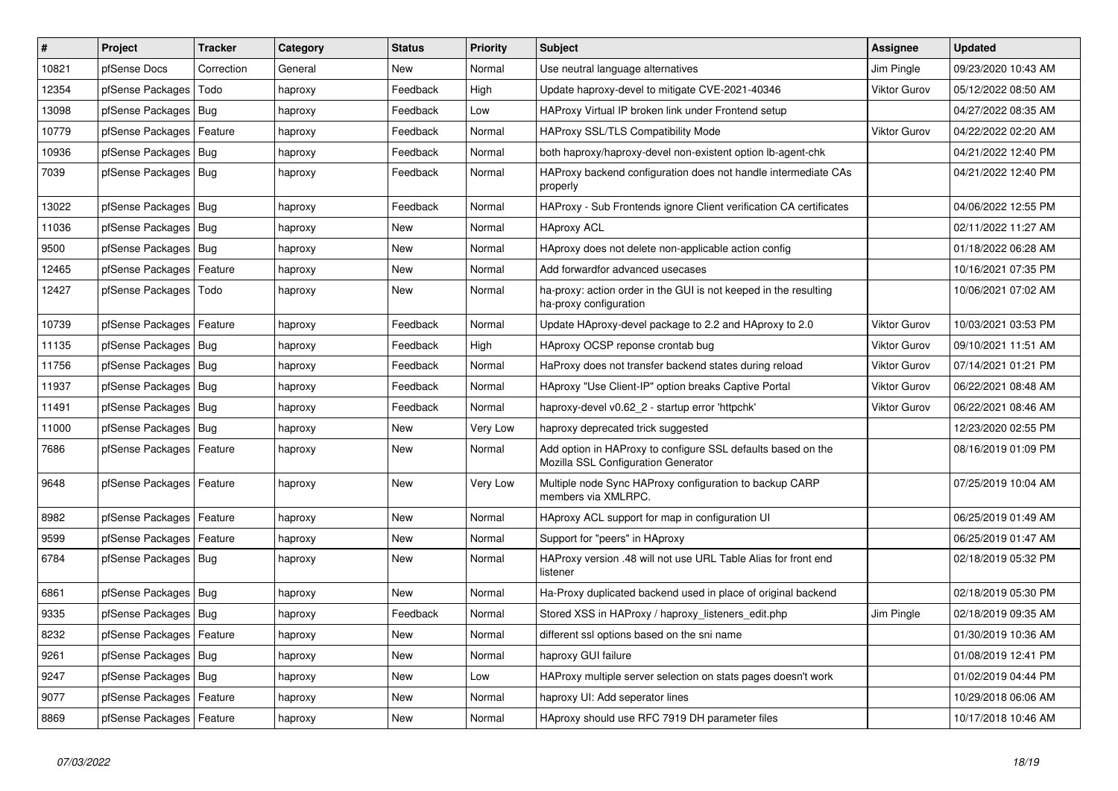| #     | <b>Project</b>             | <b>Tracker</b> | Category | <b>Status</b> | <b>Priority</b> | <b>Subject</b>                                                                                      | <b>Assignee</b>     | <b>Updated</b>      |
|-------|----------------------------|----------------|----------|---------------|-----------------|-----------------------------------------------------------------------------------------------------|---------------------|---------------------|
| 10821 | pfSense Docs               | Correction     | General  | <b>New</b>    | Normal          | Use neutral language alternatives                                                                   | Jim Pingle          | 09/23/2020 10:43 AM |
| 12354 | pfSense Packages           | Todo           | haproxy  | Feedback      | High            | Update haproxy-devel to mitigate CVE-2021-40346                                                     | <b>Viktor Gurov</b> | 05/12/2022 08:50 AM |
| 13098 | pfSense Packages           | Bug            | haproxy  | Feedback      | Low             | HAProxy Virtual IP broken link under Frontend setup                                                 |                     | 04/27/2022 08:35 AM |
| 10779 | pfSense Packages           | Feature        | haproxy  | Feedback      | Normal          | <b>HAProxy SSL/TLS Compatibility Mode</b>                                                           | <b>Viktor Gurov</b> | 04/22/2022 02:20 AM |
| 10936 | pfSense Packages           | <b>Bug</b>     | haproxy  | Feedback      | Normal          | both haproxy/haproxy-devel non-existent option Ib-agent-chk                                         |                     | 04/21/2022 12:40 PM |
| 7039  | pfSense Packages   Bug     |                | haproxy  | Feedback      | Normal          | HAProxy backend configuration does not handle intermediate CAs<br>properly                          |                     | 04/21/2022 12:40 PM |
| 13022 | pfSense Packages           | Bug            | haproxy  | Feedback      | Normal          | HAProxy - Sub Frontends ignore Client verification CA certificates                                  |                     | 04/06/2022 12:55 PM |
| 11036 | pfSense Packages           | Bug            | haproxy  | New           | Normal          | <b>HAproxy ACL</b>                                                                                  |                     | 02/11/2022 11:27 AM |
| 9500  | pfSense Packages           | Bug            | haproxy  | New           | Normal          | HAproxy does not delete non-applicable action config                                                |                     | 01/18/2022 06:28 AM |
| 12465 | pfSense Packages           | Feature        | haproxy  | New           | Normal          | Add forwardfor advanced usecases                                                                    |                     | 10/16/2021 07:35 PM |
| 12427 | pfSense Packages           | Todo           | haproxy  | <b>New</b>    | Normal          | ha-proxy: action order in the GUI is not keeped in the resulting<br>ha-proxy configuration          |                     | 10/06/2021 07:02 AM |
| 10739 | pfSense Packages           | Feature        | haproxy  | Feedback      | Normal          | Update HAproxy-devel package to 2.2 and HAproxy to 2.0                                              | <b>Viktor Gurov</b> | 10/03/2021 03:53 PM |
| 11135 | pfSense Packages           | Bug            | haproxy  | Feedback      | High            | HAproxy OCSP reponse crontab bug                                                                    | <b>Viktor Gurov</b> | 09/10/2021 11:51 AM |
| 11756 | pfSense Packages           | Bug            | haproxy  | Feedback      | Normal          | HaProxy does not transfer backend states during reload                                              | <b>Viktor Gurov</b> | 07/14/2021 01:21 PM |
| 11937 | pfSense Packages           | Bug            | haproxy  | Feedback      | Normal          | HAproxy "Use Client-IP" option breaks Captive Portal                                                | <b>Viktor Gurov</b> | 06/22/2021 08:48 AM |
| 11491 | pfSense Packages           | Bug            | haproxy  | Feedback      | Normal          | haproxy-devel v0.62_2 - startup error 'httpchk'                                                     | <b>Viktor Gurov</b> | 06/22/2021 08:46 AM |
| 11000 | pfSense Packages           | Bug            | haproxy  | New           | Very Low        | haproxy deprecated trick suggested                                                                  |                     | 12/23/2020 02:55 PM |
| 7686  | pfSense Packages   Feature |                | haproxy  | New           | Normal          | Add option in HAProxy to configure SSL defaults based on the<br>Mozilla SSL Configuration Generator |                     | 08/16/2019 01:09 PM |
| 9648  | pfSense Packages           | Feature        | haproxy  | <b>New</b>    | Very Low        | Multiple node Sync HAProxy configuration to backup CARP<br>members via XMLRPC.                      |                     | 07/25/2019 10:04 AM |
| 8982  | pfSense Packages           | Feature        | haproxy  | <b>New</b>    | Normal          | HAproxy ACL support for map in configuration UI                                                     |                     | 06/25/2019 01:49 AM |
| 9599  | pfSense Packages           | Feature        | haproxy  | <b>New</b>    | Normal          | Support for "peers" in HAproxy                                                                      |                     | 06/25/2019 01:47 AM |
| 6784  | pfSense Packages           | <b>Bug</b>     | haproxy  | <b>New</b>    | Normal          | HAProxy version .48 will not use URL Table Alias for front end<br>listener                          |                     | 02/18/2019 05:32 PM |
| 6861  | pfSense Packages           | Bug            | haproxy  | <b>New</b>    | Normal          | Ha-Proxy duplicated backend used in place of original backend                                       |                     | 02/18/2019 05:30 PM |
| 9335  | pfSense Packages           | Bug            | haproxy  | Feedback      | Normal          | Stored XSS in HAProxy / haproxy listeners edit.php                                                  | Jim Pingle          | 02/18/2019 09:35 AM |
| 8232  | pfSense Packages           | Feature        | haproxy  | <b>New</b>    | Normal          | different ssl options based on the sni name                                                         |                     | 01/30/2019 10:36 AM |
| 9261  | pfSense Packages           | Bug            | haproxy  | <b>New</b>    | Normal          | haproxy GUI failure                                                                                 |                     | 01/08/2019 12:41 PM |
| 9247  | pfSense Packages           | Bug            | haproxy  | New           | Low             | HAProxy multiple server selection on stats pages doesn't work                                       |                     | 01/02/2019 04:44 PM |
| 9077  | pfSense Packages           | Feature        | haproxy  | New           | Normal          | haproxy UI: Add seperator lines                                                                     |                     | 10/29/2018 06:06 AM |
| 8869  | pfSense Packages   Feature |                | haproxy  | <b>New</b>    | Normal          | HAproxy should use RFC 7919 DH parameter files                                                      |                     | 10/17/2018 10:46 AM |